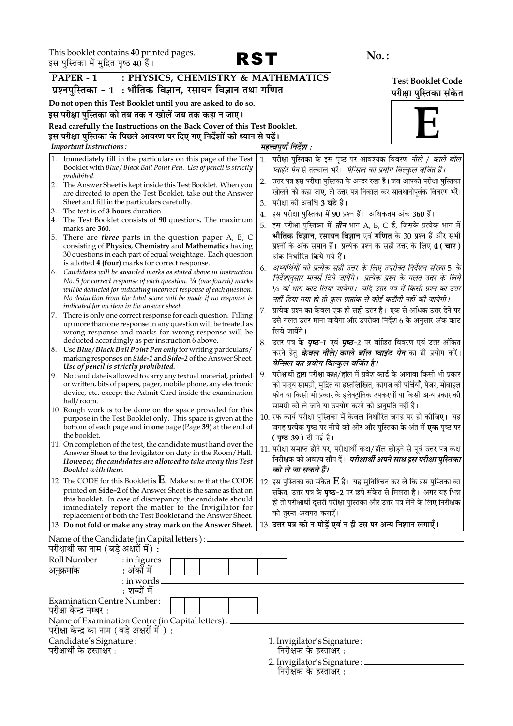This booklet contains 40 printed pages.<br>इस पस्तिका में मदित पष्ठ 40 हैं।



|    | इस पुास्तका म मुक्ति पृष्ठ <b>40</b> है।                                                                                             |                        |                                                                                                                                                |                          |  |  |
|----|--------------------------------------------------------------------------------------------------------------------------------------|------------------------|------------------------------------------------------------------------------------------------------------------------------------------------|--------------------------|--|--|
|    | PAPER - 1<br>: PHYSICS, CHEMISTRY & MATHEMATICS                                                                                      |                        |                                                                                                                                                | <b>Test Booklet Code</b> |  |  |
|    | प्रश्नपुस्तिका - 1  : भौतिक विज्ञान, रसायन विज्ञान तथा गणित                                                                          | परीक्षा पुस्तिका संकेत |                                                                                                                                                |                          |  |  |
|    | Do not open this Test Booklet until you are asked to do so.                                                                          |                        |                                                                                                                                                |                          |  |  |
|    | इस परीक्षा पुस्तिका को तब तक न खोलें जब तक कहा न जाए।                                                                                |                        |                                                                                                                                                |                          |  |  |
|    | Read carefully the Instructions on the Back Cover of this Test Booklet.                                                              |                        |                                                                                                                                                |                          |  |  |
|    | इस परीक्षा पुस्तिका के पिछले आवरण पर दिए गए निर्देशों को ध्यान से पढ़ें।                                                             |                        |                                                                                                                                                |                          |  |  |
|    | <b>Important Instructions:</b>                                                                                                       |                        | महत्त्वपूर्ण निर्देश :                                                                                                                         |                          |  |  |
| 1. | Immediately fill in the particulars on this page of the Test                                                                         | 1.                     | परीक्षा पुस्तिका के इस पृष्ठ पर आवश्यक विवरण <i>नीले / काले बॉल</i>                                                                            |                          |  |  |
|    | Booklet with Blue / Black Ball Point Pen. Use of pencil is strictly                                                                  |                        | प्वाइंट पेन से तत्काल भरें।  पेन्सिल का प्रयोग बिल्कुल वर्जित है।                                                                              |                          |  |  |
|    | prohibited.<br>2. The Answer Sheet is kept inside this Test Booklet. When you                                                        | 2.                     | उत्तर पत्र इस परीक्षा पुस्तिका के अन्दर रखा है। जब आपको परीक्षा पुस्तिका                                                                       |                          |  |  |
|    | are directed to open the Test Booklet, take out the Answer                                                                           |                        | खोलने को कहा जाए, तो उत्तर पत्र निकाल कर सावधानीपूर्वक विवरण भरें।                                                                             |                          |  |  |
|    | Sheet and fill in the particulars carefully.                                                                                         | 3.                     | परीक्षा को अवधि <b>3 घंटे</b> है।                                                                                                              |                          |  |  |
| 3. | The test is of 3 hours duration.                                                                                                     | 4.                     | इस परीक्षा पुस्तिका में 90 प्रश्न हैं। अधिकतम अंक 360 हैं।                                                                                     |                          |  |  |
| 4. | The Test Booklet consists of 90 questions. The maximum<br>marks are 360.                                                             | 5.                     | इस परीक्षा पुस्तिका में <i>तीन</i> भाग A, B, C हैं, जिसके प्रत्येक भाग में                                                                     |                          |  |  |
| 5. | There are <i>three</i> parts in the question paper A, B, C                                                                           |                        | भौतिक विज्ञान, रसायन विज्ञान एवं गणित के 30 प्रश्न हैं और सभी                                                                                  |                          |  |  |
|    | consisting of Physics, Chemistry and Mathematics having                                                                              |                        | प्रश्नों के अंक समान हैं। प्रत्येक प्रश्न के सही उत्तर के लिए 4 ( चार )                                                                        |                          |  |  |
|    | 30 questions in each part of equal weightage. Each question                                                                          |                        | अंक निर्धारित किये गये हैं।                                                                                                                    |                          |  |  |
|    | is allotted 4 (four) marks for correct response.<br>6. Candidates will be awarded marks as stated above in instruction               | 6.                     | अभ्यर्थियों को प्रत्येक सही उत्तर के लिए उपरोक्त निर्देशन संख्या 5 के                                                                          |                          |  |  |
|    | No. 5 for correct response of each question. <sup>1</sup> /4 (one fourth) marks                                                      |                        | निर्देशानुसार मार्क्स दिये जायेंगे।  प्रत्येक प्रश्न के गलत उत्तर के लिये                                                                      |                          |  |  |
|    | will be deducted for indicating incorrect response of each question.                                                                 |                        | 1/4 वां भाग काट लिया जायेगा।  यदि उत्तर पत्र में किसी प्रश्न का उत्तर                                                                          |                          |  |  |
|    | No deduction from the total score will be made if no response is<br>indicated for an item in the answer sheet.                       |                        | नहीं दिया गया हो तो कुल प्राप्तांक से कोई कटौती नहीं की जायेगी।                                                                                |                          |  |  |
| 7. | There is only one correct response for each question. Filling                                                                        | 7.                     | प्रत्येक प्रश्न का केवल एक ही सही उत्तर है। एक से अधिक उत्तर देने पर                                                                           |                          |  |  |
|    | up more than one response in any question will be treated as                                                                         |                        | उसे गलत उत्तर माना जायेगा और उपरोक्त निर्देश 6 के अनुसार अंक काट                                                                               |                          |  |  |
|    | wrong response and marks for wrong response will be                                                                                  |                        | लिये जायेंगे।                                                                                                                                  |                          |  |  |
|    | deducted accordingly as per instruction 6 above.<br>8. Use Blue/Black Ball Point Pen only for writing particulars/                   |                        | 8. उत्तर पत्र के <b>एष्ठ-1</b> एवं <b>एष्ठ-2</b> पर वांछित विवरण एवं उत्तर अंकित                                                               |                          |  |  |
|    | marking responses on <i>Side-1</i> and <i>Side-2</i> of the Answer Sheet.                                                            |                        | करने हेतु <i>केवल नीले/ काले बॉल प्वाइंट पेन</i> का ही प्रयोग करें।                                                                            |                          |  |  |
|    | Use of pencil is strictly prohibited.                                                                                                |                        | पेन्सिल का प्रयोग बिल्कुल वर्जित है।                                                                                                           |                          |  |  |
|    | 9. No candidate is allowed to carry any textual material, printed<br>or written, bits of papers, pager, mobile phone, any electronic | 9.                     | परीक्षार्थी द्वारा परीक्षा कक्ष/हॉल में प्रवेश कार्ड के अलावा किसी भी प्रकार                                                                   |                          |  |  |
|    | device, etc. except the Admit Card inside the examination                                                                            |                        | को पाठ्य सामग्री, मुद्रित या हस्तलिखित, कागज को पर्चियाँ, पेजर, मोबाइल<br>फोन या किसी भी प्रकार के इलेक्ट्रॉनिक उपकरणों या किसी अन्य प्रकार की |                          |  |  |
|    | hall/room.                                                                                                                           |                        | सामग्री को ले जाने या उपयोग करने की अनुमति नहीं है।                                                                                            |                          |  |  |
|    | 10. Rough work is to be done on the space provided for this                                                                          |                        | 10. रफ कार्य परीक्षा पुस्तिका में केवल निर्धारित जगह पर ही कोजिए। यह                                                                           |                          |  |  |
|    | purpose in the Test Booklet only. This space is given at the<br>bottom of each page and in one page (Page 39) at the end of          |                        | जगह प्रत्येक पृष्ठ पर नीचे की ओर और पुस्तिका के अंत में <b>एक</b> पृष्ठ पर                                                                     |                          |  |  |
|    | the booklet.                                                                                                                         |                        | <b>( पृष्ठ 39 )</b> दी गई है।                                                                                                                  |                          |  |  |
|    | 11. On completion of the test, the candidate must hand over the                                                                      |                        | 11. परीक्षा समाप्त होने पर, परीक्षार्थी कक्ष/हॉल छोड़ने से पूर्व उत्तर पत्र कक्ष                                                               |                          |  |  |
|    | Answer Sheet to the Invigilator on duty in the Room/Hall.<br>However, the candidates are allowed to take away this Test              |                        | निरीक्षक को अवश्य सौंप दें। <i>परीक्षार्थी अपने साथ इस परीक्षा पुस्तिका</i>                                                                    |                          |  |  |
|    | Booklet with them.                                                                                                                   |                        | को ले जा सकते हैं।                                                                                                                             |                          |  |  |
|    | 12. The CODE for this Booklet is $\bf{E}$ . Make sure that the CODE                                                                  |                        | 12. इस पुस्तिका का संकेत ${\bf E}$ है। यह सुनिश्चित कर लें कि इस पुस्तिका का                                                                   |                          |  |  |
|    | printed on Side-2 of the Answer Sheet is the same as that on                                                                         |                        | संकेत, उत्तर पत्र के <b>पृष्ठ-2</b> पर छपे संकेत से मिलता है। अगर यह भिन्न                                                                     |                          |  |  |
|    | this booklet. In case of discrepancy, the candidate should<br>immediately report the matter to the Invigilator for                   |                        | हो तो परीक्षार्थी दूसरी परीक्षा पुस्तिका और उत्तर पत्र लेने के लिए निरीक्षक                                                                    |                          |  |  |
|    | replacement of both the Test Booklet and the Answer Sheet.                                                                           |                        | को तुरन्त अवगत कराएँ।                                                                                                                          |                          |  |  |
|    | 13. Do not fold or make any stray mark on the Answer Sheet.                                                                          |                        | 13. उत्तर पत्र को न मोड़ें एवं न ही उस पर अन्य निशान लगाएँ।                                                                                    |                          |  |  |
|    | Name of the Candidate (in Capital letters) : _                                                                                       |                        |                                                                                                                                                |                          |  |  |
|    | परीक्षार्थी का नाम (बड़े अक्षरों में) :                                                                                              |                        |                                                                                                                                                |                          |  |  |
|    | Roll Number<br>: in figures                                                                                                          |                        |                                                                                                                                                |                          |  |  |
|    | : अंकों में<br>अनुक्रमांक                                                                                                            |                        |                                                                                                                                                |                          |  |  |
|    | : in words<br>: शब्दों में                                                                                                           |                        |                                                                                                                                                |                          |  |  |
|    | <b>Examination Centre Number:</b>                                                                                                    |                        |                                                                                                                                                |                          |  |  |
|    | परीक्षा केन्द्र नम्बर :                                                                                                              |                        |                                                                                                                                                |                          |  |  |
|    | Name of Examination Centre (in Capital letters) :                                                                                    |                        |                                                                                                                                                |                          |  |  |
|    | परीक्षा केन्द्र का नाम (बड़े अक्षरों में ) :                                                                                         |                        |                                                                                                                                                |                          |  |  |
|    | Candidate's Signature : _<br>परीक्षार्थी के हस्ताक्षर :                                                                              |                        | 1. Invigilator's Signature :<br>निरीक्षक के हस्ताक्षर :                                                                                        |                          |  |  |
|    |                                                                                                                                      |                        |                                                                                                                                                |                          |  |  |

2. Invigilator's Signature : \_\_\_\_\_\_\_\_\_\_<br>निरीक्षक के हस्ताक्षर :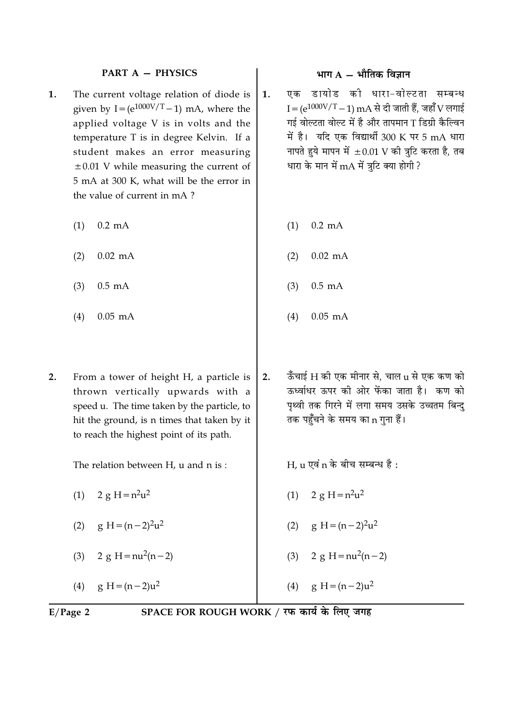## **PART A - PHYSICS**

- The current voltage relation of diode is 1. given by  $I = (e^{1000V/T} - 1)$  mA, where the applied voltage V is in volts and the temperature T is in degree Kelvin. If a student makes an error measuring  $\pm 0.01$  V while measuring the current of 5 mA at 300 K, what will be the error in the value of current in mA?
	- $0.2 \text{ mA}$  $(1)$
	- $0.02$  mA  $(2)$
	- $(3)$  $0.5 \text{ mA}$
	- $(4)$  $0.05$  mA
- $2.$ From a tower of height H, a particle is thrown vertically upwards with a speed u. The time taken by the particle, to hit the ground, is n times that taken by it to reach the highest point of its path.

The relation between H, u and n is:

- (1)  $2 g H = n^2 u^2$
- $g H = (n-2)^2 u^2$  $(2)$
- 2 g H =  $nu^2(n-2)$  $(3)$
- $g H = (n-2)u^2$  $(4)$
- भाग  $A \hat{A}$ मीतिक विज्ञान
- एक डायोड की धारा-वोल्टता सम्बन्ध  $\mathbf{1}$ .  $I = (e^{1000V/T} - 1)$  mA से दी जाती हैं, जहाँ V लगाई गई वोल्टता वोल्ट में है और तापमान T डिग्री कैल्विन में है। यदि एक विद्यार्थी 300 K पर 5 mA धारा नापते हुये मापन में  $\pm 0.01$  V की त्रुटि करता है, तब धारा के मान में mA में त्रटि क्या होगी ?
	- $0.2 \text{ mA}$  $(1)$
	- $0.02$  mA  $(2)$
	- $0.5$  mA  $(3)$
	- $(4)$  $0.05$  mA
- ऊँचाई H की एक मीनार से. चाल u से एक कण को  $2.$ ऊर्ध्वाधर ऊपर की ओर फेंका जाता है। कण को पृथ्वी तक गिरने में लगा समय उसके उच्चतम बिन्द तक पहुँचने के समय का n गना हैं।

 $H_{\rm c}$ u एवं n के बीच सम्बन्ध है:

- $2 g H = n^2 u^2$  $(1)$
- (2)  $g H = (n-2)^2 u^2$
- 2 g H =  $nu^2(n-2)$  $(3)$

 $g H = (n-2)u^2$  $(4)$ 

 $E/P$ age 2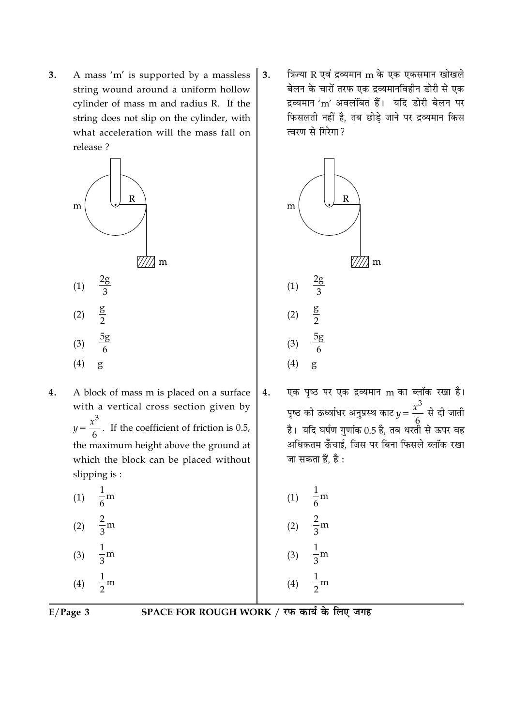3. A mass 'm' is supported by a massless string wound around a uniform hollow cylinder of mass m and radius R. If the string does not slip on the cylinder, with what acceleration will the mass fall on release ?



- $\bf{4}$ . A block of mass m is placed on a surface with a vertical cross section given by  $y = \frac{x^3}{6}$ . If the coefficient of friction is 0.5, the maximum height above the ground at which the block can be placed without slipping is:
	- (1)  $\frac{1}{6}$ m  $rac{2}{3}$ m  $(2)$  $\frac{1}{3}$ m  $(3)$  $\frac{1}{2}$ m  $(4)$

त्रिज्या R एवं द्रव्यमान m के एक एकसमान खोखले  $3.$ बेलन के चारों तरफ एक द्रव्यमानविहीन डोरी से एक द्रव्यमान 'm' अवलंबित हैं। यदि डोरी बेलन पर फिसलती नहीं है, तब छोड़े जाने पर द्रव्यमान किस त्वरण से गिरेगा ?



एक पृष्ठ पर एक द्रव्यमान m का ब्लॉक रखा है।  $\overline{4}$ . पृष्ठ की ऊर्ध्वाधर अनुप्रस्थ काट  $y = \frac{x^3}{6}$  से दी जाती है। यदि घर्षण गणांक 0.5 है, तब धरतो से ऊपर वह अधिकतम ऊँँचाई, जिस पर बिना फिसले ब्लॉक रखा जा सकता हैं, है :

| (1) | $\overline{6}$ m |
|-----|------------------|
| (2) | $\frac{2}{3}$ m  |
| (3) | $\frac{1}{3}$ m  |
| (4) | $\frac{1}{2}$ m  |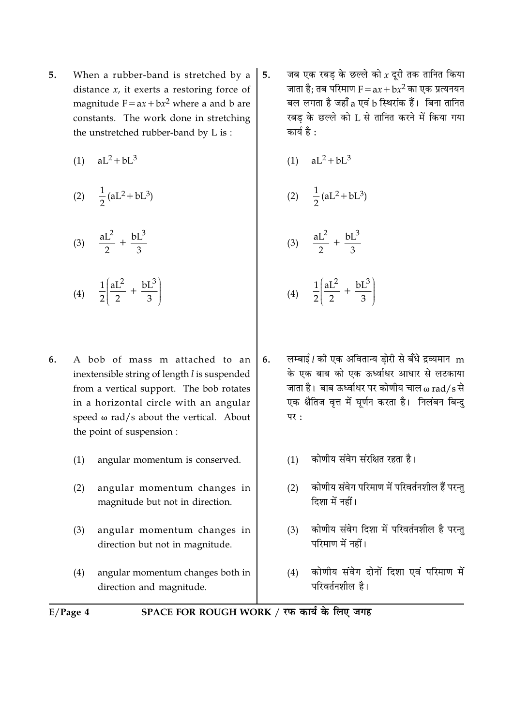- $5<sub>1</sub>$ When a rubber-band is stretched by a distance  $x$ , it exerts a restoring force of magnitude  $F = ax + bx^2$  where a and b are constants. The work done in stretching the unstretched rubber-band by L is:
	- (1)  $aL^2 + bL^3$

(2) 
$$
\frac{1}{2}(aL^2 + bL^3)
$$

$$
(3) \quad \frac{aL^2}{2} + \frac{bL^3}{3}
$$

$$
(4) \quad \frac{1}{2} \left( \frac{aL^2}{2} + \frac{bL^3}{3} \right)
$$

- 6. A bob of mass m attached to an inextensible string of length l is suspended from a vertical support. The bob rotates in a horizontal circle with an angular speed  $\omega$  rad/s about the vertical. About the point of suspension :
	- angular momentum is conserved.  $(1)$
	- $(2)$ angular momentum changes in magnitude but not in direction.
	- $(3)$ angular momentum changes in direction but not in magnitude.
	- angular momentum changes both in  $(4)$ direction and magnitude.
- जब एक रबड के छल्ले को  $x$  दूरी तक तानित किया  $5.$ जाता है; तब परिमाण  $F = ax + bx^2$  का एक प्रत्यनयन बल लगता है जहाँ a एवं b स्थिरांक हैं। बिना तानित रबड के छल्ले को L से तानित करने में किया गया कार्य है :
	- $(1)$  $aL^2 + bL^3$

(2) 
$$
\frac{1}{2}
$$
 (aL<sup>2</sup> + bL<sup>3</sup>)

$$
(3) \quad \frac{aL^2}{2} + \frac{bL^3}{3}
$$

$$
(4) \quad \frac{1}{2} \left( \frac{aL^2}{2} + \frac{bL^3}{3} \right)
$$

- लम्बाई [ की एक अवितान्य डोरी से बँधे द्रव्यमान m 6. के एक बाब को एक ऊर्ध्वाधर आधार से लटकाया जाता है। बाब ऊर्ध्वाधर पर कोणीय चाल  $\omega$  rad/s से एक क्षैतिज वृत्त में घर्णन करता है। निलंबन बिन्द  $\overline{u}$ 
	- कोणीय संवेग संरक्षित रहता है।  $(1)$
	- कोणीय संवेग परिमाण में परिवर्तनशील हैं परन्त  $(2)$ दिशा में नहीं।
	- कोणीय संवेग दिशा में परिवर्तनशील है परन्तु  $(3)$ परिमाण में नहीं।
	- कोणीय संवेग दोनों दिशा एवं परिमाण में  $(4)$ परिवर्तनशील है।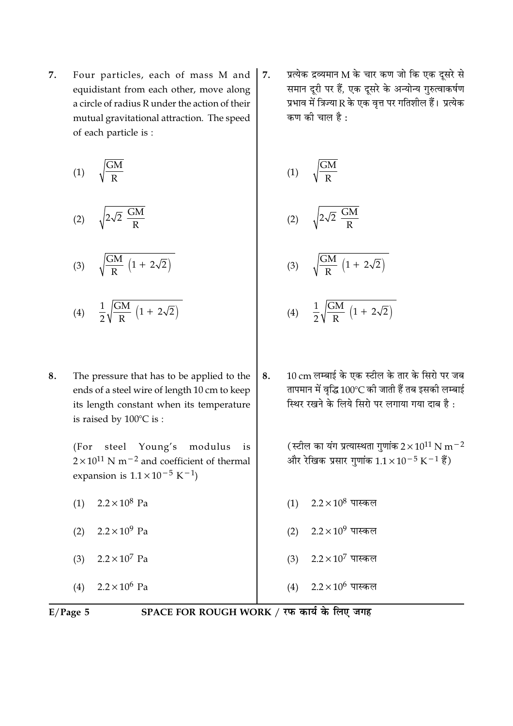7. Four particles, each of mass M and equidistant from each other, move along a circle of radius R under the action of their mutual gravitational attraction. The speed of each particle is :

$$
(1) \qquad \sqrt{\frac{GM}{R}}
$$

$$
(2) \qquad \sqrt{2\sqrt{2} \frac{GM}{R}}
$$

$$
(3) \qquad \sqrt{\frac{GM}{R}\,\left(1\,+\,2\sqrt{2}\right)}
$$

$$
(4) \quad \frac{1}{2}\sqrt{\frac{GM}{R}\,\left(1+\,2\sqrt{2}\right)}
$$

8. The pressure that has to be applied to the ends of a steel wire of length 10 cm to keep its length constant when its temperature is raised by  $100^{\circ}$ C is :

> steel Young's modulus  $(For$ is  $2 \times 10^{11}$  N m<sup>-2</sup> and coefficient of thermal expansion is  $1.1 \times 10^{-5}$  K<sup>-1</sup>)

- $2.2 \times 10^8$  Pa  $(1)$
- (2)  $2.2 \times 10^9$  Pa
- $2.2 \times 10^7$  Pa  $(3)$

 $2.2 \times 10^6$  Pa  $(4)$ 

प्रत्येक द्रव्यमान M के चार कण जो कि एक दूसरे से 7. समान दूरी पर हैं, एक दूसरे के अन्योन्य गुरुत्वाकर्षण प्रभाव में त्रिज्या R के एक वत्त पर गतिशील हैं। प्रत्येक कण की चाल है :

$$
(1) \qquad \sqrt{\frac{GM}{R}}
$$

$$
(2) \qquad \sqrt{2\sqrt{2} \frac{GM}{R}}
$$

$$
(3) \qquad \sqrt{\frac{GM}{R} \left(1 + 2\sqrt{2}\right)}
$$

- $\frac{1}{2}\sqrt{\frac{GM}{R}\left(1+2\sqrt{2}\right)}$  $(4)$
- 10 cm लम्बाई के एक स्टील के तार के सिरो पर जब 8. तापमान में वृद्धि 100°C की जाती हैं तब इसकी लम्बाई स्थिर रखने के लिये सिरो पर लगाया गया दाब है :

(स्टील का यंग प्रत्यास्थता गुणांक  $2 \times 10^{11}$  N m<sup>-2</sup> और रेखिक प्रसार गुणांक  $1.1 \times 10^{-5}$  K $^{-1}$  हैं)

- $(1)$  2.2 × 10<sup>8</sup> पास्कल
- (2)  $2.2 \times 10^9$  पास्कल
- $2.2\times10^7$  पास्कल  $(3)$
- $2.2\times10^6$  पास्कल  $(4)$

 $E/Page 5$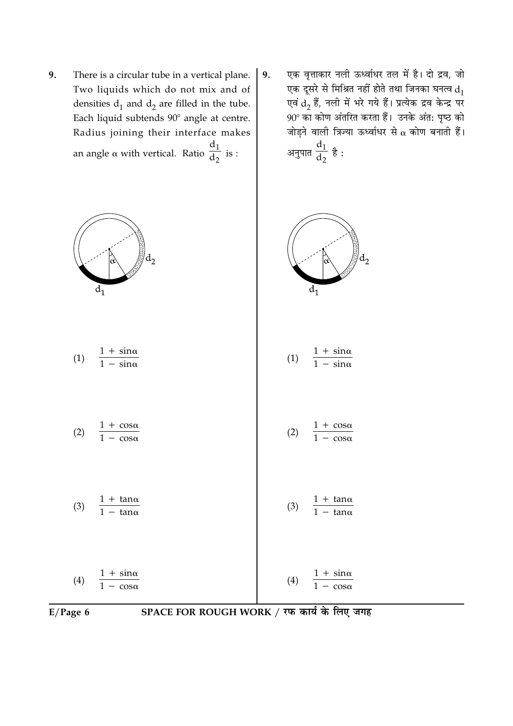- 9. There is a circular tube in a vertical plane. Two liquids which do not mix and of densities  $d_1$  and  $d_2$  are filled in the tube. Each liquid subtends 90° angle at centre. Radius joining their interface makes an angle  $\alpha$  with vertical. Ratio  $\frac{d_1}{d_2}$  is :
- एक वृत्ताकार नली ऊर्ध्वाधर तल में है। दो द्रव, जो 9. एक दूसरे से मिश्रित नहीं होते तथा जिनका घनत्व  $d_1$ एवं  $\overline{d}_2$  हैं, नली में भरे गये हैं। प्रत्येक द्रव केन्द्र पर 90° का कोण अंतरित करता हैं। उनके अंत: पृष्ठ को जोड़ने वाली त्रिज्या ऊर्ध्वाधर से  $\alpha$  कोण बनाती हैं। अनुपात $\frac{d_1}{d_2}$  है :





SPACE FOR ROUGH WORK / रफ कार्य के लिए जगह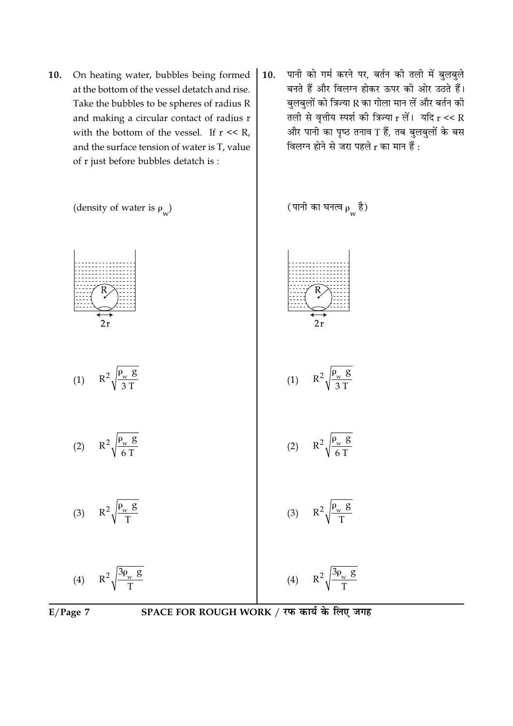- 10. On heating water, bubbles being formed at the bottom of the vessel detatch and rise. Take the bubbles to be spheres of radius R and making a circular contact of radius r with the bottom of the vessel. If  $r \ll R$ , and the surface tension of water is T, value of r just before bubbles detatch is:
- पानी को गर्म करने पर, बर्तन की तली में बुलबुले  $10.$ बनते हैं और विलग्न होकर ऊपर की ओर उठते हैं। बुलबुलों को त्रिज्या R का गोला मान लें और बर्तन की तली से वृत्तीय स्पर्श की त्रिज्या  $r$  लें। यदि  $r \ll R$ और पानी का पृष्ठ तनाव T हैं, तब बुलबुलों के बस विलग्न होने से जरा पहले r का मान हैं :



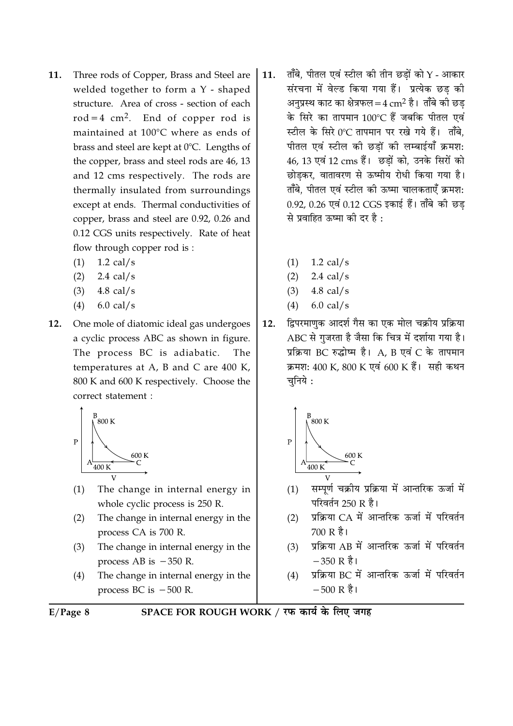- Three rods of Copper, Brass and Steel are 11. welded together to form a Y - shaped structure. Area of cross - section of each  $rod = 4 cm<sup>2</sup>$ . End of copper rod is maintained at 100°C where as ends of brass and steel are kept at 0°C. Lengths of the copper, brass and steel rods are 46, 13 and 12 cms respectively. The rods are thermally insulated from surroundings except at ends. Thermal conductivities of copper, brass and steel are 0.92, 0.26 and 0.12 CGS units respectively. Rate of heat flow through copper rod is:
	- $(1)$  $1.2$  cal/s
	- $2.4$  cal/s  $(2)$
	- $(3)$  $4.8$  cal/s
	- $(4)$  $6.0$  cal/s
- $12.$ One mole of diatomic ideal gas undergoes a cyclic process ABC as shown in figure. The process BC is adiabatic. The temperatures at A, B and C are  $400$  K, 800 K and 600 K respectively. Choose the correct statement :



- The change in internal energy in  $(1)$ whole cyclic process is 250 R.
- The change in internal energy in the  $(2)$ process CA is 700 R.
- The change in internal energy in the  $(3)$ process AB is  $-350$  R.
- $(4)$ The change in internal energy in the process BC is  $-500$  R.
- $E/Page 8$



- ताँबे, पीतल एवं स्टील की तीन छडों को  $Y$  आकार 11. संरचना में वेल्ड किया गया हैं। प्रत्येक छड की अनप्रस्थ काट का क्षेत्रफल = 4  $\rm cm^2$  है। ताँबे की छड के सिरे का तापमान 100℃ हैं जबकि पीतल एवं स्टील के सिरे 0℃ तापमान पर रखे गये हैं। ताँबे. पीतल एवं स्टील की छडों की लम्बाईयाँ क्रमश: 46, 13 एवं 12 cms हैं। छड़ों को, उनके सिरों को छोडकर, वातावरण से ऊष्मीय रोधी किया गया है। ताँबे, पीतल एवं स्टील की ऊष्मा चालकताएँ क्रमश: 0.92, 0.26 एवं 0.12 CGS इकाई हैं। ताँबे की छड से प्रवाहित ऊष्मा की दर है :
	- $(1)$  $1.2$  cal/s
	- $2.4 \text{ cal/s}$  $(2)$
	- $(3)$  $4.8$  cal/s
	- $6.0$  cal/s  $(4)$
- द्विपरमाणक आदर्श गैस का एक मोल चक्रीय प्रक्रिया  $12.$ ABC से गजरता है जैसा कि चित्र में दर्शाया गया है। प्रक्रिया BC रुद्धोष्म है। A, B एवं C के तापमान क्रमश: 400 K, 800 K एवं 600 K हैं। सही कथन चनिये:



- सम्पूर्ण चक्रीय प्रक्रिया में आन्तरिक ऊर्जा में  $(1)$ परिवर्तन 250 R है।
- प्रक्रिया CA में आन्तरिक ऊर्जा में परिवर्तन  $(2)$  $700 R$  है।
- प्रक्रिया AB में आन्तरिक ऊर्जा में परिवर्तन  $(3)$  $-350R$  है।
- प्रक्रिया BC में आन्तरिक ऊर्जा में परिवर्तन  $(4)$  $-500 \text{ R}$  है।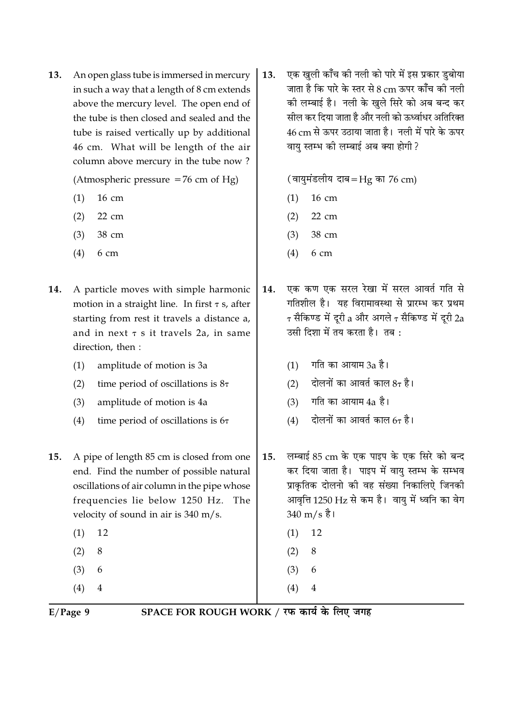$13.$ An open glass tube is immersed in mercury in such a way that a length of 8 cm extends above the mercury level. The open end of the tube is then closed and sealed and the tube is raised vertically up by additional 46 cm. What will be length of the air column above mercury in the tube now?

(Atmospheric pressure  $=76$  cm of Hg)

- 16 cm  $(1)$
- $22 \text{ cm}$  $(2)$
- 38 cm  $(3)$
- $6<sub>cm</sub>$  $(4)$
- A particle moves with simple harmonic 14. motion in a straight line. In first  $\tau$  s, after starting from rest it travels a distance a. and in next  $\tau$  s it travels 2a, in same direction, then :
	- $(1)$ amplitude of motion is 3a
	- $(2)$ time period of oscillations is  $8\tau$
	- $(3)$ amplitude of motion is 4a
	- $(4)$ time period of oscillations is  $6\tau$
- A pipe of length 85 cm is closed from one 15. end. Find the number of possible natural oscillations of air column in the pipe whose frequencies lie below 1250 Hz. The velocity of sound in air is 340 m/s.
	- 12  $(1)$
	- 8  $(2)$
	- $(3)$ 6
	- $(4)$  $\overline{4}$

एक खुली काँच की नली को पारे में इस प्रकार डुबोया 13. जाता है कि पारे के स्तर से 8 cm ऊपर कॉँच की नली की लम्बाई है। नली के खले सिरे को अब बन्द कर सील कर दिया जाता है और नली को ऊर्ध्वाधर अतिरिक्त 46 cm से ऊपर उठाया जाता है। नली में पारे के ऊपर वाय स्तम्भ की लम्बाई अब क्या होगी?

(वायुमंडलीय दाब=Hg का 76 cm)

- 16 cm  $(1)$
- $22 \text{ cm}$  $(2)$
- $(3)$ 38 cm
- $6<sub>cm</sub>$  $(4)$
- एक कण एक सरल रेखा में सरल आवर्त गति से 14. गतिशील है। यह विरामावस्था से प्रारम्भ कर प्रथम  $\tau$  सैकिण्ड में दरी a और अगले  $\tau$  सैकिण्ड में दरी 2a उसी दिशा में तय करता है। तब:
	- गति का आयाम 3a है।  $(1)$
	- दोलनों का आवर्त काल  $8\tau$  है।  $(2)$
	- गति का आयाम 4a है।  $(3)$
	- दोलनों का आवर्त काल 67 है।  $(4)$
- लम्बाई 85 cm के एक पाइप के एक सिरे को बन्द 15. कर दिया जाता है। पाइप में वायु स्तम्भ के सम्भव प्राकृतिक दोलनो की वह संख्या निकालिऐ जिनकी आवृत्ति 1250 Hz से कम है। वायु में ध्वनि का वेग  $340 \text{ m/s}$  है।
	- 12  $(1)$
	- 8  $(2)$
	- $(3)$ 6
- $(4)$  $\overline{4}$

 $E/Page$  9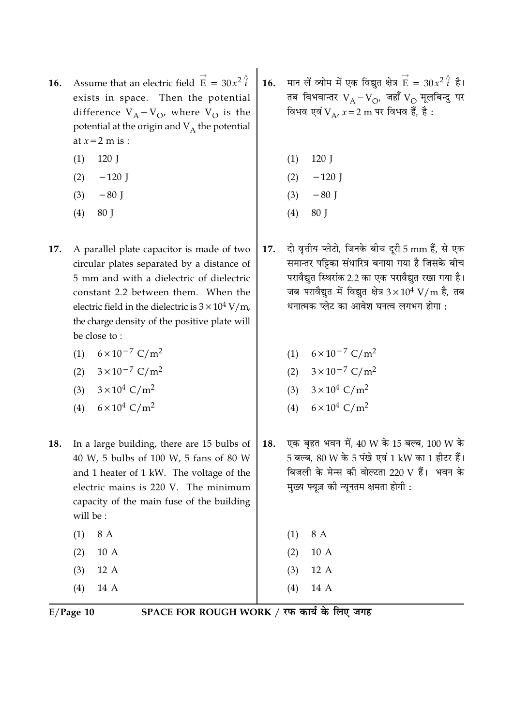- Assume that an electric field  $\vec{E} = 30x^2 \hat{i}$  $16.$ exists in space. Then the potential difference  $V_A - V_O$ , where  $V_O$  is the potential at the origin and  $V_A$  the potential at  $x=2$  m is :
	- 120 J  $(1)$
	- $(2)$  $-120$  J
	- $(3)$  $-80$  J
	- $(4)$ 80 J
- 17. A parallel plate capacitor is made of two circular plates separated by a distance of 5 mm and with a dielectric of dielectric constant 2.2 between them. When the electric field in the dielectric is  $3 \times 10^4$  V/m, the charge density of the positive plate will be close to:
	- $6 \times 10^{-7}$  C/m<sup>2</sup>  $(1)$
	- (2)  $3 \times 10^{-7}$  C/m<sup>2</sup>
	- $3 \times 10^4$  C/m<sup>2</sup>  $(3)$
	- $6 \times 10^4$  C/m<sup>2</sup>  $(4)$
- In a large building, there are 15 bulbs of 18. 40 W, 5 bulbs of 100 W, 5 fans of 80 W and 1 heater of 1 kW. The voltage of the electric mains is 220 V. The minimum capacity of the main fuse of the building will be:
	- $(1)$ 8 A  $(2)$ 10 A  $(3)$  $12A$  $(4)$ 
		- 14 A

मान लें व्योम में एक विद्युत क्षेत्र  $\overrightarrow{E} = 30x^2 \overrightarrow{i}$  है।  $16.$ तब विभवान्तर  $V_A-V_O$ , जहाँ  $V_O$  मूलबिन्दु पर विभव एवं V  $_{\Lambda}$ ,  $x=2$  m पर विभव हैं, है :

- 120 J  $(1)$
- $-120$  J  $(2)$
- $(3)$  $-80$  J
- $(4)$ 80 J
- दो वृत्तीय प्लेटो, जिनके बीच दूरी 5 mm हैं, से एक 17. समान्तर पट्टिका संधारित्र बनाया गया है जिसके बीच परावैद्युत स्थिरांक 2.2 का एक परावैद्युत रखा गया है। जब परावैद्युत में विद्युत क्षेत्र  $3 \times 10^4$  V/m है, तब धनात्मक प्लेट का आवेश घनत्व लगभग होगा :
	- (1)  $6 \times 10^{-7}$  C/m<sup>2</sup>
	- (2)  $3 \times 10^{-7}$  C/m<sup>2</sup>
	- $3 \times 10^4$  C/m<sup>2</sup>  $(3)$
	- $6 \times 10^4$  C/m<sup>2</sup>  $(4)$
- एक बृहत भवन में, 40 W के 15 बल्ब, 100 W के 18. 5 बल्ब. 80 W के 5 पंखे एवं 1 kW का 1 हीटर हैं। बिजली के मेन्स की वोल्टता 220 V हैं। भवन के मुख्य फ्यूज़ की न्यूनतम क्षमता होगी :

8 A  $(1)$ 10 A  $(2)$ 12 A  $(3)$ 

 $(4)$ 14 A

 $E/Page$  10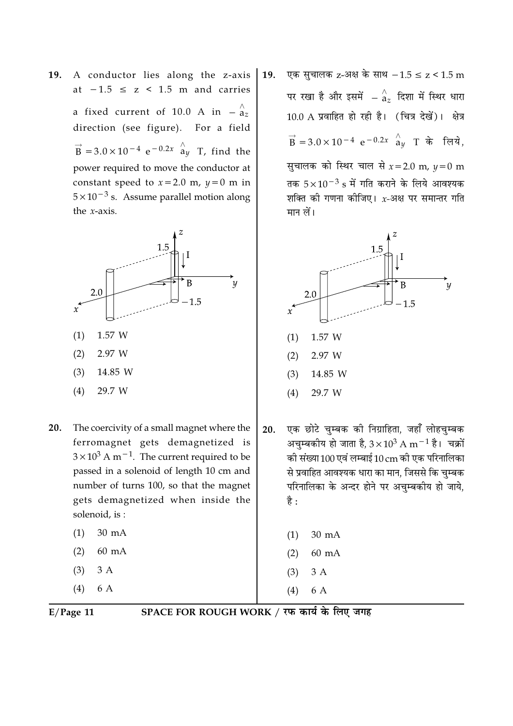A conductor lies along the z-axis **19.** at  $-1.5 \le z \le 1.5$  m and carries a fixed current of 10.0 A in  $-\frac{\Lambda}{a_z}$ direction (see figure). For a field  $\vec{B}$  = 3.0 × 10<sup>-4</sup> e<sup>-0.2x</sup>  $\hat{a}_{\mu}$  T, find the power required to move the conductor at constant speed to  $x = 2.0$  m,  $y = 0$  m in  $5 \times 10^{-3}$  s. Assume parallel motion along the  $x$ -axis.



- 20. The coercivity of a small magnet where the ferromagnet gets demagnetized is  $3 \times 10^3$  A m<sup>-1</sup>. The current required to be passed in a solenoid of length 10 cm and number of turns 100, so that the magnet gets demagnetized when inside the solenoid, is:
	- $30 \text{ mA}$  $(1)$  $(2)$ 60 mA  $(3)$  $3A$
	- $(4)$ 6 A

एक सुचालक z-अक्ष के साथ  $-1.5 \le z < 1.5$  m 19. पर रखा है और इसमें  $-\stackrel{\wedge}{a}_{z}$  दिशा में स्थिर धारा  $10.0$  A प्रवाहित हो रही है। (चित्र देखें)। क्षेत्र  $\vec{B} = 3.0 \times 10^{-4} e^{-0.2x}$   $\hat{a}_y$  T के लिये. सुचालक को स्थिर चाल से  $x = 2.0$  m,  $y = 0$  m तक  $5 \times 10^{-3}$  s में गति कराने के लिये आवश्यक शक्ति की गणना कीजिए।  $x$ -अक्ष पर समान्तर गति मान लें।



एक छोटे चुम्बक की निग्राहिता, जहाँ लोहचुम्बक 20. अचम्बकीय हो जाता है,  $3 \times 10^3$  A m $^{-1}$  है। चक्रों की संख्या 100 एवं लम्बाई 10 cm की एक परिनालिका से प्रवाहित आवश्यक धारा का मान, जिससे कि चुम्बक परिनालिका के अन्दर होने पर अचम्बकीय हो जाये, है :

- $(2)$  $60 \text{ mA}$
- $(3)$  $3A$
- 6 A  $(4)$

 $E/Page$  11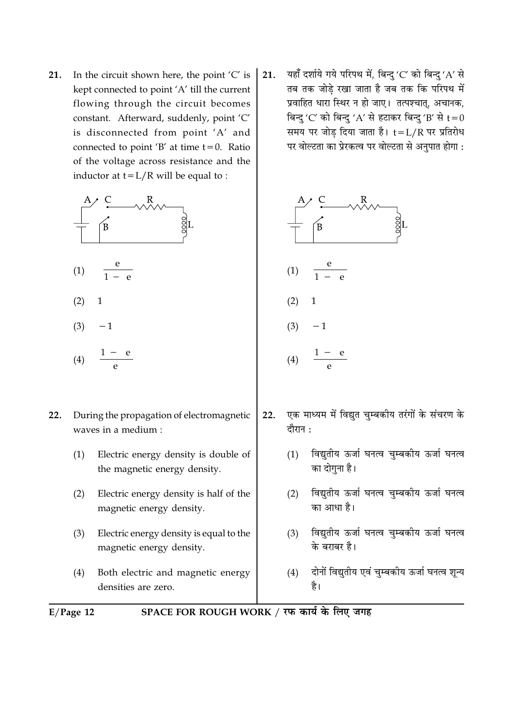In the circuit shown here, the point  $'C'$  is  $21.$ kept connected to point 'A' till the current flowing through the circuit becomes constant. Afterward, suddenly, point 'C' is disconnected from point 'A' and connected to point 'B' at time  $t = 0$ . Ratio of the voltage across resistance and the inductor at  $t = L/R$  will be equal to :



 $(4)$ 

- $22.$ During the propagation of electromagnetic waves in a medium :
	- Electric energy density is double of  $(1)$ the magnetic energy density.
	- $(2)$ Electric energy density is half of the magnetic energy density.
	- $(3)$ Electric energy density is equal to the magnetic energy density.
	- $(4)$ Both electric and magnetic energy densities are zero.

यहाँ दर्शाये गये परिपथ में, बिन्दु 'C' को बिन्दु 'A' से 21. तब तक जोडे रखा जाता है जब तक कि परिपथ में प्रवाहित धारा स्थिर न हो जाए। तत्पश्चात, अचानक, बिन्दु 'C' को बिन्दु 'A' से हटाकर बिन्दु 'B' से  $t=0$ समय पर जोड दिया जाता है। t=L/R पर प्रतिरोध पर वोल्टता का प्रेरकत्व पर वोल्टता से अनुपात होगा :



- एक माध्यम में विद्युत चुम्बकीय तरंगों के संचरण के  $22.$ दौरान :
	- विद्युतीय ऊर्जा घनत्व चुम्बकीय ऊर्जा घनत्व  $(1)$ का दोगना है।
	- (2) विद्युतीय ऊर्जा घनत्व चुम्बकीय ऊर्जा घनत्व का आधा है।
	- विद्युतीय ऊर्जा घनत्व चुम्बकीय ऊर्जा घनत्व  $(3)$ के बराबर है।
	- दोनों विद्युतीय एवं चुम्बकीय ऊर्जा घनत्व शून्य  $(4)$ है।
- SPACE FOR ROUGH WORK / रफ कार्य के लिए जगह  $E/Page$  12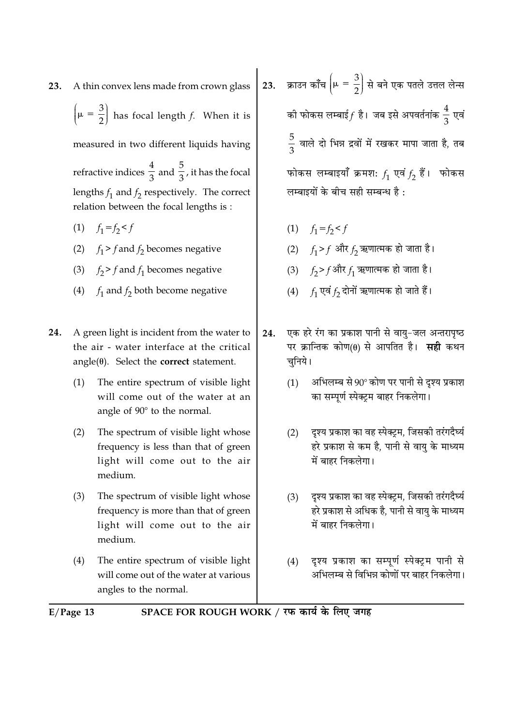A thin convex lens made from crown glass 23.

 $\left(\mu = \frac{3}{2}\right)$  has focal length f. When it is

measured in two different liquids having

refractive indices  $\frac{4}{3}$  and  $\frac{5}{3}$ , it has the focal lengths  $f_1$  and  $f_2$  respectively. The correct relation between the focal lengths is:

- (1)  $f_1 = f_2 < f$
- (2)  $f_1 > f$  and  $f_2$  becomes negative
- (3)  $f_2 > f$  and  $f_1$  becomes negative
- (4)  $f_1$  and  $f_2$  both become negative
- 24. A green light is incident from the water to the air - water interface at the critical  $angle(\theta)$ . Select the **correct** statement.
	- The entire spectrum of visible light  $(1)$ will come out of the water at an angle of 90° to the normal.
	- $(2)$ The spectrum of visible light whose frequency is less than that of green light will come out to the air medium.
	- The spectrum of visible light whose  $(3)$ frequency is more than that of green light will come out to the air medium.
	- The entire spectrum of visible light  $(4)$ will come out of the water at various angles to the normal.

23. क्राउन काँच  $\left|\mu=\frac{3}{2}\right|$  से बने एक पतले उत्तल लेन्स की फोकस लम्बाई $f$  है। जब इसे अपवर्तनांक  $\frac{4}{3}$  एवं  $\frac{5}{2}$  वाले दो भिन्न द्रवों में रखकर मापा जाता है, तब फोकस लम्बाइयाँ क्रमशः  $f_1$  एवं  $f_2$  हैं। फोकस लम्बाइयों के बीच सही सम्बन्ध है:

- (1)  $f_1 = f_2 < f$
- (2)  $f_1 > f$  और  $f_2$  ऋणात्मक हो जाता है।
- (3)  $f_2 > f$ और  $f_1$  ऋणात्मक हो जाता है।
- (4)  $f_1$  एवं  $f_2$  दोनों ऋणात्मक हो जाते हैं।
- एक हरे रंग का प्रकाश पानी से वायु-जल अन्तरापृष्ठ 24. पर क्रान्तिक कोण(0) से आपतित है। सही कथन चनिये।
	- $(1)$ अभिलम्ब से 90° कोण पर पानी से दश्य प्रकाश का सम्पर्ण स्पेक्टम बाहर निकलेगा।
	- दश्य प्रकाश का वह स्पेक्टम. जिसकी तरंगदैर्घ्य  $(2)$ हरे प्रकाश से कम है, पानी से वायु के माध्यम में बाहर निकलेगा।
	- दुश्य प्रकाश का वह स्पेक्ट्रम, जिसकी तरंगदैर्घ्य  $(3)$ हरे प्रकाश से अधिक है, पानी से वायु के माध्यम में बाहर निकलेगा।
	- दृश्य प्रकाश का सम्पूर्ण स्पेक्ट्रम पानी से  $(4)$ अभिलम्ब से विभिन्न कोणों पर बाहर निकलेगा।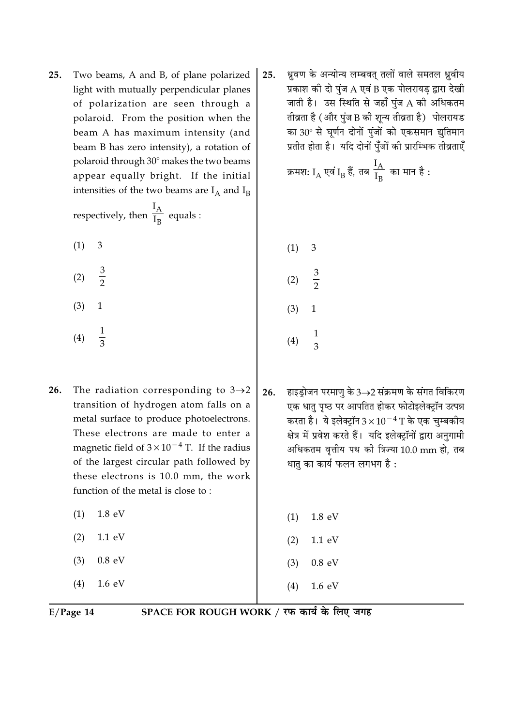Two beams, A and B, of plane polarized 25. light with mutually perpendicular planes of polarization are seen through a polaroid. From the position when the beam A has maximum intensity (and beam B has zero intensity), a rotation of polaroid through 30° makes the two beams appear equally bright. If the initial intensities of the two beams are  $I_A$  and  $I_B$ 

respectively, then  $\frac{I_A}{I_R}$  equals :

- $(1)$ 3
- $rac{3}{2}$  $(2)$
- $(3)$  $\mathbf{1}$
- $\frac{1}{3}$  $(4)$
- 26. The radiation corresponding to  $3\rightarrow 2$ transition of hydrogen atom falls on a metal surface to produce photoelectrons. These electrons are made to enter a magnetic field of  $3 \times 10^{-4}$  T. If the radius of the largest circular path followed by these electrons is 10.0 mm, the work function of the metal is close to:
	- $(1)$ 1.8 eV
	- $(2)$  $1.1 \text{ eV}$
	- $0.8$  eV  $(3)$
	- $(4)$  $1.6 \text{ eV}$

ध्रुवण के अन्योन्य लम्बवत् तलों वाले समतल ध्रुवीय 25. प्रकाश की दो पुंज A एवं B एक पोलरायड़ द्वारा देखी जाती है। उस स्थिति से जहाँ पंज A की अधिकतम तीव्रता है (और पुंज B की शून्य तीव्रता है) पोलरायड का 30° से घर्णन दोनों पूंजों को एकसमान द्युतिमान प्रतीत होता है। यदि दोनों पँजों की प्रारम्भिक तीव्रताएँ

क्रमशः I<sub>A</sub> एवं I<sub>B</sub> हैं, तब 
$$
\frac{I_A}{I_B}
$$
 का मान है :

 $(1)$ 3  $rac{3}{2}$  $(2)$  $(3)$ 1  $(4)$ 

 $26.$ हाइडोजन परमाण के 3 $\rightarrow$ 2 संक्रमण के संगत विकिरण एक धातु पृष्ठ पर आपतित होकर फोटोइलेक्ट्रॉन उत्पन्न करता है। ये इलेक्ट्रॉन  $3\times10^{-4}$  T के एक चम्बकीय क्षेत्र में प्रवेश करते हैं। यदि इलेक्ट्रॉनों द्वारा अनुगामी अधिकतम वत्तीय पथ की त्रिज्या 10.0 mm हो, तब धातु का कार्य फलन लगभग है :

|     | $(1)$ 1.8 eV     |  |
|-----|------------------|--|
|     | $(2)$ 1.1 eV     |  |
|     | $(3)$ 0.8 eV     |  |
| (4) | $1.6 \text{ eV}$ |  |

 $E/Page$  14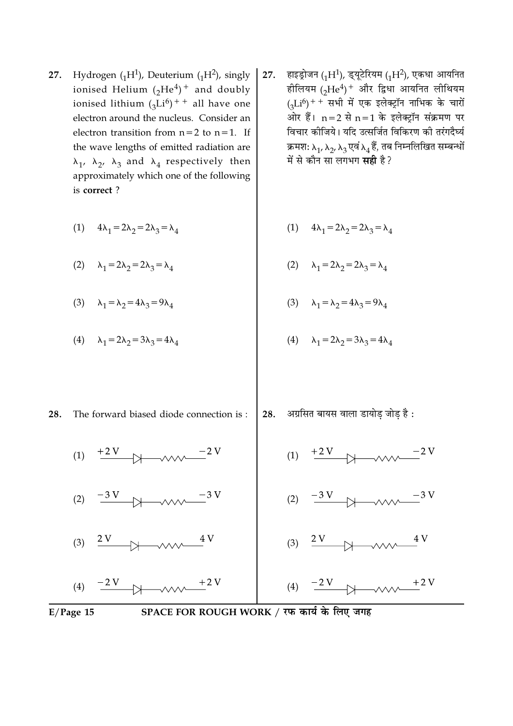- 27. Hydrogen  $({}_{1}H^{1})$ , Deuterium  $({}_{1}H^{2})$ , singly ionised Helium  $({}_2He^4)^+$  and doubly ionised lithium  $({}_{3}Li^{6})$ <sup>++</sup> all have one electron around the nucleus. Consider an electron transition from  $n=2$  to  $n=1$ . If the wave lengths of emitted radiation are  $\lambda_1$ ,  $\lambda_2$ ,  $\lambda_3$  and  $\lambda_4$  respectively then approximately which one of the following is correct?
	- (1)  $4\lambda_1 = 2\lambda_2 = 2\lambda_3 = \lambda_4$ (1)  $4\lambda_1 = 2\lambda_2 = 2\lambda_3 = \lambda_4$

(2) 
$$
\lambda_1 = 2\lambda_2 = 2\lambda_3 = \lambda_4
$$
   
 (2)  $\lambda_1 = 2\lambda_2 = 2\lambda_3 = \lambda_4$ 

(3)  $\lambda_1 = \lambda_2 = 4\lambda_3 = 9\lambda_4$ (3)  $\lambda_1 = \lambda_2 = 4\lambda_3 = 9\lambda_4$ 

(4) 
$$
\lambda_1 = 2\lambda_2 = 3\lambda_3 = 4\lambda_4
$$
   
 (4)  $\lambda_1 = 2\lambda_2 = 3\lambda_3 = 4\lambda_4$ 

28. The forward biased diode connection is:

(1)  $+2V$ 

 $\frac{2V}{\sqrt{2\pi}}$ 

अग्रसित बायस वाला डायोड़ जोड़ है : 28.

- $+2V$
- 
- 





 $(2)$ 

 $(3)$ 

(4)  $\frac{-2 V}{4}$ 

हाइड्रोजन (1H<sup>1</sup>), ड्यूटेरियम (1H<sup>2</sup>), एकधा आयनित 27. हीलियम (2He<sup>4</sup>)<sup>+</sup> और द्विधा आयनित लीथियम  $_{(2}Li^{6})$ ++ सभी में एक इलेक्ट्रॉन नाभिक के चारों ओर हैं।  $n=2$  से  $n=1$  के इलेक्ट्रॉन संक्रमण पर विचार कोजिये। यदि उत्सर्जित विकिरण की तरंगदैर्घ्य क्रमश:  $\lambda_1$ ,  $\lambda_2$ ,  $\lambda_3$  एवं  $\lambda_4$  हैं, तब निम्नलिखित सम्बन्धों में से कौन सा लगभग **सही** है?

SPACE FOR ROUGH WORK / रफ कार्य के लिए जगह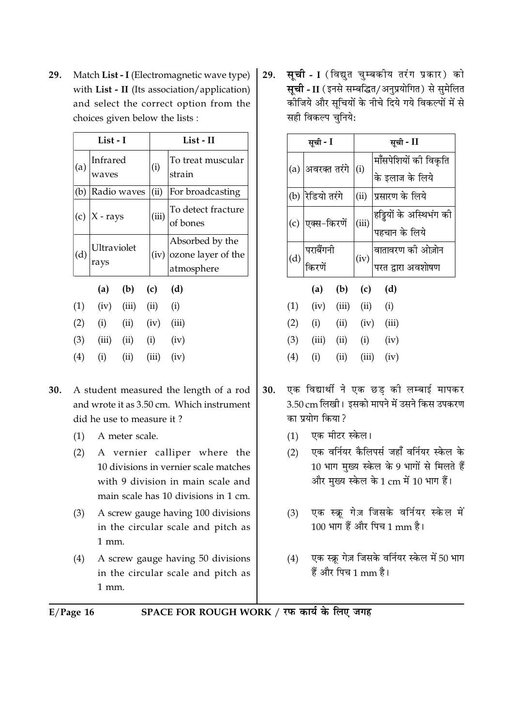Match List - I (Electromagnetic wave type) **29.** with List - II (Its association/application) and select the correct option from the choices given below the lists :

|     | List - I            |                             |                       | List - II                                                  |
|-----|---------------------|-----------------------------|-----------------------|------------------------------------------------------------|
| (a) | Infrared<br>waves   |                             | (i)                   | To treat muscular<br>strain                                |
| (b) | Radio waves         |                             | (ii)                  | For broadcasting                                           |
|     | (c) $ X - rays$     |                             | (iii)                 | To detect fracture<br>of bones                             |
| (d) | Ultraviolet<br>rays |                             |                       | Absorbed by the<br>$(iv)$ ozone layer of the<br>atmosphere |
|     | (a)                 | $(b)$ $(c)$                 |                       | (d)                                                        |
| (1) |                     | $(iv)$ $(iii)$ $(ii)$ $(i)$ |                       |                                                            |
|     | $(2)$ $(i)$         |                             | $(ii)$ $(iv)$ $(iii)$ |                                                            |
| (3) | (iii)               | (ii)                        | (i)                   | (iv)                                                       |
| (4) | (i)                 | (ii)                        | (iii)                 | (iv)                                                       |

- $30.$ A student measured the length of a rod and wrote it as 3.50 cm Which instrument did he use to measure it?
	- $(1)$ A meter scale.
	- $(2)$ A vernier calliper where the 10 divisions in vernier scale matches with 9 division in main scale and main scale has 10 divisions in 1 cm.
	- $(3)$ A screw gauge having 100 divisions in the circular scale and pitch as 1 mm.
	- $(4)$ A screw gauge having 50 divisions in the circular scale and pitch as 1 mm.

**सूची - I** (विद्युत चुम्बकीय तरंग प्रकार) को 29. सूची - II (इनसे सम्बद्धित/अनुप्रयोगित) से सुमेलित ्<br>कोजिये और सचियों के नीचे दिये गये विकल्पों में से सही विकल्प चुनिये:

|     | सूची - I                 |       | सूची - II                                                  |  |
|-----|--------------------------|-------|------------------------------------------------------------|--|
| (a) |                          |       | मॉँसपेशियों की विकृति                                      |  |
|     | अवरक्त तरंगे $\Big $ (i) |       | के इलाज के लिये                                            |  |
| (b) | रेडियो तरंगे             | (ii)  | प्रसारण के लिये                                            |  |
| (c) | एक्स-किरणें              | (iii) | $\left  \tilde{e}$ ड्डियों के अस्थिभंग की<br>पहचान के लिये |  |
|     |                          |       |                                                            |  |
|     | पराबैंगनी<br>किरणें      | (iv)  | वातावरण की ओज़ोन<br>परत द्वारा अवशोषण                      |  |
| (d) |                          |       |                                                            |  |
|     | (a) (b) (c)              |       | (d)                                                        |  |
|     | $\cdots$                 |       |                                                            |  |

| (1)               | (iv)  | (iii) | (ii)  | (i)   |
|-------------------|-------|-------|-------|-------|
| (2)               | (i)   | (ii)  | (iv)  | (iii) |
| (3)               | (iii) | (ii)  | (i)   | (iv)  |
| $\left( 4\right)$ | (i)   | (ii)  | (iii) | (iv)  |

- एक विद्यार्थी ने एक छड़ की लम्बाई मापकर 30. 3.50 cm लिखी। इसको मापने में उसने किस उपकरण का प्रयोग किया?
	- (1) एक मीटर स्केल।
	- एक वर्नियर कैलिपर्स जहाँ वर्नियर स्केल के  $(2)$ 10 भाग मुख्य स्केल के 9 भागों से मिलते हैं और मुख्य स्केल के 1 cm में 10 भाग हैं।
	- एक स्क्रू गेज़ जिसके वर्नियर स्केल में  $(3)$ 100 भाग हैं और पिच 1 mm है।
	- एक स्क्रू गेज़ जिसके वर्नियर स्केल में 50 भाग  $(4)$ हैं और पिच 1 mm है।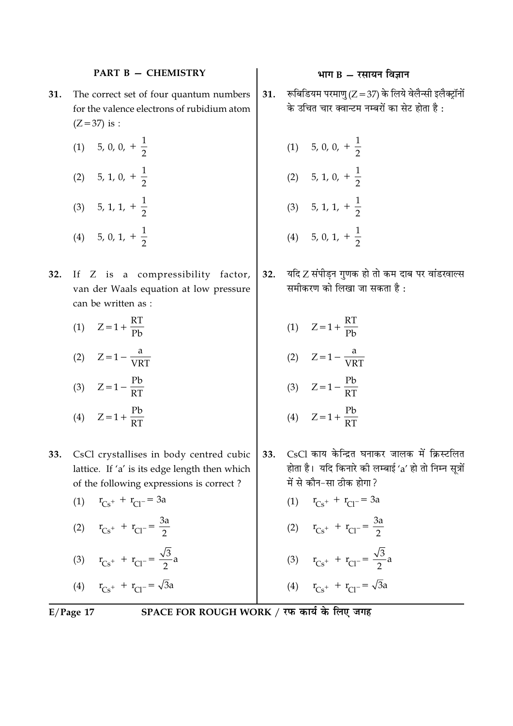## **PART B - CHEMISTRY**

- The correct set of four quantum numbers 31. for the valence electrons of rubidium atom  $(Z = 37)$  is :
	- $(1)$  5, 0, 0,  $+\frac{1}{2}$ (2) 5, 1, 0,  $+\frac{1}{2}$ (3) 5, 1, 1,  $+\frac{1}{2}$ (4) 5, 0, 1,  $+\frac{1}{2}$
- 32. If Z is a compressibility factor, van der Waals equation at low pressure can be written as :
	- (1)  $Z = 1 + \frac{RT}{R}$ (2)  $Z = 1 - \frac{a}{VRT}$ (3)  $Z = 1 - \frac{Pb}{RT}$ (4)  $Z = 1 + \frac{Pb}{PT}$
- CsCl crystallises in body centred cubic 33. lattice. If 'a' is its edge length then which of the following expressions is correct?
	- (1)  $r_{Cs^+} + r_{Cl^-} = 3a$ (2)  $r_{Cs} + r_{Cl} = \frac{3a}{2}$ (3)  $r_{Cs^+} + r_{Cl^-} = \frac{\sqrt{3}}{2}a$

(4) 
$$
r_{Cs^+} + r_{Cl^-} = \sqrt{3}a
$$

 $E/Page$  17

## भाग  $B - \bar{x}$ सायन विज्ञान

- रूबिडियम परमाण (Z = 37) के लिये वेलैन्सी इलैक्ट्रॉनों  $31.$ के उचित चार क्वान्टम नम्बरों का सेट होता है:
	- (1) 5, 0, 0,  $+\frac{1}{2}$ (2) 5, 1, 0,  $+\frac{1}{2}$ (3) 5, 1, 1,  $+\frac{1}{2}$ (4) 5, 0, 1,  $+\frac{1}{2}$
- यदि Z संपीड़न गुणक हो तो कम दाब पर वांडखाल्स  $32.$ समीकरण को लिखा जा सकता है:
	- (1)  $Z = 1 + \frac{RT}{PL}$ (2)  $Z = 1 - \frac{a}{VRT}$ (3)  $Z = 1 - \frac{Pb}{RT}$ (4)  $Z = 1 + \frac{Pb}{RT}$
- CsCl काय केन्द्रित घनाकर जालक में क्रिस्टलित 33. होता है। यदि किनारे की लम्बाई 'a' हो तो निम्न सत्रों में से कौन-सा ठीक होगा?
	- (1)  $r_{Cs^+} + r_{Cl^-} = 3a$
	- (2)  $r_{Cs} + r_{Cl} = \frac{3a}{2}$
	- (3)  $r_{Cs^+} + r_{Cl^-} = \frac{\sqrt{3}}{2}a$

(4) 
$$
r_{Cs^+} + r_{Cl^-} = \sqrt{3}a
$$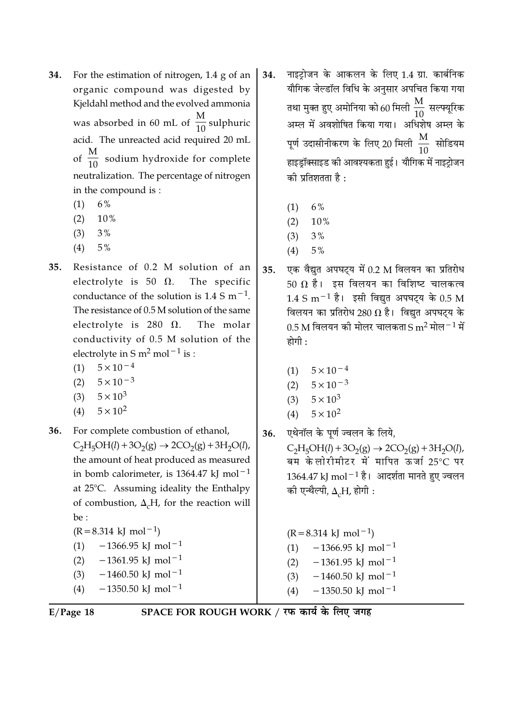- For the estimation of nitrogen, 1.4 g of an 34. organic compound was digested by Kieldahl method and the evolved ammonia was absorbed in 60 mL of  $\frac{M}{10}$  sulphuric acid. The unreacted acid required 20 mL of  $\frac{M}{10}$  sodium hydroxide for complete neutralization. The percentage of nitrogen in the compound is:
	- 6%  $(1)$
	- $(2)$ 10%
	- $(3)$  $3%$
	- $(4)$  $5\%$
- Resistance of 0.2 M solution of an 35. electrolyte is 50  $\Omega$ . The specific conductance of the solution is  $1.4 \text{ S m}^{-1}$ . The resistance of 0.5 M solution of the same electrolyte is 280  $\Omega$ . The molar conductivity of 0.5 M solution of the electrolyte in S m<sup>2</sup> mol<sup> $-1$ </sup> is :
	- $5 \times 10^{-4}$  $(1)$
	- $(2)$  $5 \times 10^{-3}$
	- $5 \times 10^3$  $(3)$
	- $5 \times 10^2$  $(4)$
- 36. For complete combustion of ethanol,  $C_2H_5OH(l) + 3O_2(g) \rightarrow 2CO_2(g) + 3H_2O(l)$ , the amount of heat produced as measured in bomb calorimeter, is 1364.47 kJ mol<sup> $-1$ </sup> at 25°C. Assuming ideality the Enthalpy of combustion,  $\Delta_{c}H$ , for the reaction will be :  $(R = 8.314 \text{ kJ} \text{ mol}^{-1})$  $-1366.95$  kJ mol<sup>-1</sup>  $(1)$ 
	- $-1361.95$  kJ mol<sup>-1</sup>  $(2)$  $-1460.50$  kJ mol<sup>-1</sup>  $(3)$  $(4)$  $-1350.50$  kJ mol<sup>-1</sup>
- नाइटोजन के आकलन के लिए 1.4 ग्रा. कार्बनिक 34. यौगिक जेल्डॉल विधि के अनुसार अपचित किया गया तथा मुक्त हुए अमोनिया को 60 मिली  $\frac{\text{M}}{10}$  सल्फ्यूरिक अम्ल में अवशोषित किया गया। अधिशेष अम्ल के पूर्ण उदासीनीकरण के लिए 20 मिली  $\frac{\text{M}}{10}$  सोडियम हाइड्रॉक्साइड की आवश्यकता हुई। यौगिक में नाइट्रोजन की प्रतिशतता है :
	- 6%  $(1)$
	- 10%  $(2)$
	- $(3)$  $3%$
	- $(4)$  $5\%$
- एक वैद्युत अपघट्य में 0.2 M विलयन का प्रतिरोध 35. 50  $\Omega$  है। इस विलयन का विशिष्ट चालकत्व  $1.4 \text{ S m}^{-1}$  है। इसी विद्युत अपघट्य के 0.5 M विलयन का प्रतिरोध 280  $\Omega$  है। विद्युत अपघट्य के  $0.5$  M विलयन की मोलर चालकता S m<sup>2</sup> मोल $^{-1}$  में होगी :
	- $5 \times 10^{-4}$  $(1)$
	- $(2)$  $5 \times 10^{-3}$
	- $5 \times 10^3$  $(3)$
	- $5 \times 10^2$  $(4)$
- एथेनॉल के पूर्ण ज्वलन के लिये, 36.  $C_2H_5OH(l) + 3O_2(g) \rightarrow 2CO_2(g) + 3H_2O(l)$ , बम केलोरीमीटर में मापित ऊर्जा 25°C पर  $1364.47$  kJ mol $^{-1}$  है। आदर्शता मानते हुए ज्वलन की एन्थैल्पी,  $\Delta_c$ H, होगी:

 $(R = 8.314 \text{ kJ} \text{ mol}^{-1})$  $-1366.95$  kJ mol<sup>-1</sup>  $(1)$  $-1361.95$  kJ mol<sup>-1</sup>  $(2)$  $-1460.50$  kJ mol<sup>-1</sup>  $(3)$  $-1350.50$  kJ mol<sup>-1</sup>  $(4)$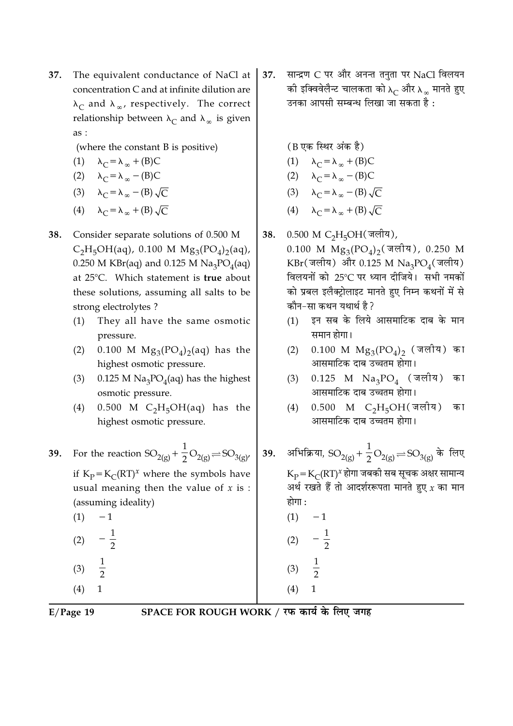- 37. The equivalent conductance of NaCl at concentration C and at infinite dilution are  $\lambda_C$  and  $\lambda_\infty$ , respectively. The correct relationship between  $\lambda_C$  and  $\lambda_{\infty}$  is given as:
	- (where the constant B is positive)

(1) 
$$
\lambda_C = \lambda_\infty + (B)C
$$

$$
(2) \qquad \lambda_C = \lambda_\infty - (B)C
$$

- (3)  $\lambda_C = \lambda_\infty (B) \sqrt{C}$
- (4)  $\lambda_C = \lambda_{\infty} + (B) \sqrt{C}$
- Consider separate solutions of 0.500 M 38.  $C_2H_5OH(aq)$ , 0.100 M  $Mg_3(PO_4)_2(aq)$ , 0.250 M KBr(aq) and 0.125 M Na<sub>3</sub>PO<sub>4</sub>(aq) at 25°C. Which statement is true about these solutions, assuming all salts to be strong electrolytes?
	- They all have the same osmotic  $(1)$ pressure.
	- 0.100 M  $Mg_3(PO_4)_2(aq)$  has the  $(2)$ highest osmotic pressure.
	- 0.125 M  $\text{Na}_3\text{PO}_4$ (aq) has the highest  $(3)$ osmotic pressure.
	- $0.500$  M C<sub>2</sub>H<sub>5</sub>OH(aq) has the  $(4)$ highest osmotic pressure.
- For the reaction  $SO_{2(g)} + \frac{1}{2}O_{2(g)} = SO_{3(g)}$ 39. if  $K_p = K_C (RT)^x$  where the symbols have usual meaning then the value of  $x$  is : (assuming ideality)  $(1)$  $-1$ 
	- $-\frac{1}{2}$  $(2)$  $(3)$  $\overline{2}$  $\mathbf{1}$
	- $(4)$

37. सान्द्रण C पर और अनन्त तनुता पर NaCl विलयन की इक्विवेलैन्ट चालकता को  $\lambda_C$  और  $\lambda_{\infty}$  मानते हुए उनका आपसी सम्बन्ध लिखा जा सकता है :

(B एक स्थिर अंक है)

- (1)  $\lambda_C = \lambda_{\infty} + (B)C$
- (2)  $\lambda_C = \lambda_\infty (B)C$

$$
(3) \qquad \lambda_C = \lambda_\infty - (B) \sqrt{C}
$$

- (4)  $\lambda_C = \lambda_{\infty} + (B) \sqrt{C}$
- 0.500 M C<sub>2</sub>H<sub>5</sub>OH(जलीय), 38.

0.100 M  $Mg_3(PO_4)_2$  (जलीय), 0.250 M  $KBr(\vec{3})$  और 0.125 M  $Na_3PO_4(\vec{3})$ विलयनों को 25°C पर ध्यान दीजिये। सभी नमकों को प्रबल इलैक्टोलाइट मानते हुए निम्न कथनों में से कौन-सा कथन यथार्थ है?

- इन सब के लिये आसमाटिक दाब के मान  $(1)$ समान होगा।
- $0.100$  M  $\text{Mg}_{3}(\text{PO}_{4})_{2}$  (जलीय) का  $(2)$ आसमाटिक दाब उच्चतम होगा।
- $0.125$  M Na<sub>3</sub>PO<sub>4</sub> (जलीय) का  $(3)$ आसमाटिक दाब उच्चतम होगा।
- $0.500$  M C<sub>2</sub>H<sub>5</sub>OH(जलीय) का  $(4)$ आसमाटिक दाब उच्चतम होगा।
- 39. अभिक्रिया,  $SO_{2(g)} + \frac{1}{2}O_{2(g)} = SO_{3(g)}$  के लिए  $K_{\rm p}$  =  $K_{\rm C}$ (RT)<sup>x</sup> होगा जबकी सब सूचक अक्षर सामान्य अर्थ रखते हैं तो आदर्शररूपता मानते हुए  $\chi$  का मान होगा :  $(1) -1$ 
	- $(2)$  $rac{1}{2}$  $(3)$  $(4)$  $\mathbf{1}$

 $E/Page$  19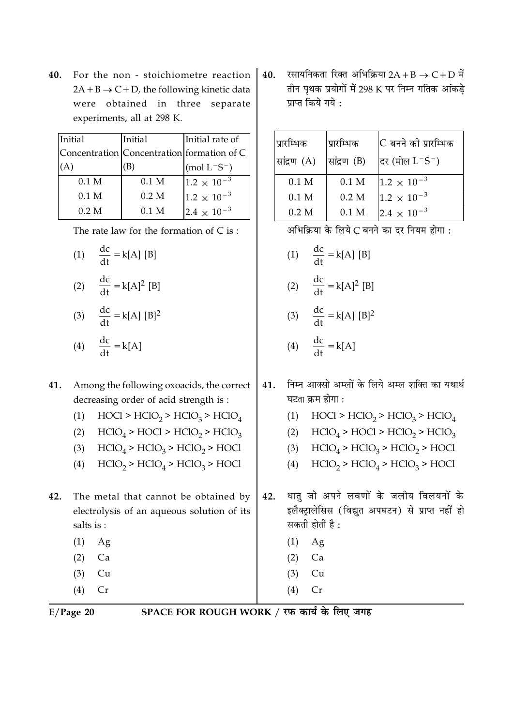**40.** For the non - stoichiometre reaction  $2A + B \rightarrow C + D$ , the following kinetic data were obtained in three separate experiments, all at 298 K.

| Initial          | Initial          | Initial rate of                                |
|------------------|------------------|------------------------------------------------|
|                  |                  | Concentration   Concentration   formation of C |
|                  |                  | $(mod L^-S^-)$                                 |
| 0.1 <sub>M</sub> | 0.1 <sub>M</sub> | $1.2 \times 10^{-3}$                           |
| 0.1 <sub>M</sub> | 0.2 M            | $1.2 \times 10^{-3}$                           |
| 0.2 M            | 0.1 <sub>M</sub> | $2.4 \times 10^{-3}$                           |

The rate law for the formation of  $C$  is :

(1)  $\frac{dc}{dt} = k[A][B]$ 

$$
(2) \quad \frac{dc}{dt} = k[A]^2 [B]
$$

$$
(3) \quad \frac{dc}{dt} = k[A] [B]^2
$$

$$
(4) \quad \frac{dc}{dt} = k[A]
$$

## **41.** Among the following oxoacids, the correct decreasing order of acid strength is :

- (1)  $\text{HOC1} > \text{HClO}_2 > \text{HClO}_3 > \text{HClO}_4$
- (2)  $\text{HClO}_4$  > HOCl > HClO<sub>2</sub> > HClO<sub>3</sub>
- (3)  $HClO<sub>4</sub> > HClO<sub>3</sub> > HClO<sub>2</sub> > HClO$
- (4)  $HClO<sub>2</sub> > HClO<sub>4</sub> > HClO<sub>3</sub> > HOCl$
- 42. he metal that cannot be obtained by electrolysis of an aqueous solution of its salts is :
	- $(1)$  Ag  $(2)$  Ca
	- $(3)$  Cu
	- $(4)$  Cr

 $40.$  रसायनिकता रिक्त अभिक्रिया  $2\mathrm{A} + \mathrm{B} \rightarrow \mathrm{C} + \mathrm{D}$  में तीन पृथक प्रयोगों में 298 K पर निम्न गतिक आ<mark>ं</mark>कड़े प्राप्त किये गये <mark>:</mark>

| प्रारम्भिक       | प्रारम्भिक       | C बनने की प्रारम्भिक |
|------------------|------------------|----------------------|
| सांद्रण (A)      | सांद्रण (B)      | दर (मोल $L-S^-$ )    |
| 0.1 <sub>M</sub> | 0.1 <sub>M</sub> | $1.2 \times 10^{-3}$ |
| 0.1 M            | 0.2 <sub>M</sub> | $1.2 \times 10^{-3}$ |
| 0.2 M            | 0.1 <sub>M</sub> | $2.4 \times 10^{-3}$ |

अभिक्रिया के लिये C बनने का दर नियम होगा <mark>:</mark>

- (1)  $\frac{dc}{dt} = k[A] [B]$
- (2)  $\frac{dc}{dt} = k[A]^2 [B]$
- (3)  $\frac{dc}{dt} = k[A] [B]^2$
- (4)  $\frac{dc}{dt} = k[A]$
- ${\bf 41.} \quad$  निम्न आक्सो अम्लों के लिये अम्ल शक्ति का यथार्थ घटता क्रम होगा <mark>:</mark>
	- (1) HOCl > HClO<sub>2</sub> > HClO<sub>3</sub> > HClO<sub>4</sub>
	- (2)  $\text{HClO}_4$  >  $\text{HOCl}$  >  $\text{HClO}_2$  >  $\text{HClO}_3$
	- (3)  $HClO<sub>4</sub> > HClO<sub>3</sub> > HClO<sub>2</sub> > HClO$
	- (4)  $HClO<sub>2</sub> > HClO<sub>4</sub> > HClO<sub>3</sub> > HOCl$
- 42. धातु जो अपने लवणों के जलीय विलयनों के इलैक्ट्रालेसिस (विद्युत अपघटन) से प्राप्त नहीं <mark>हो</mark> सकती होती है <mark>:</mark>
	- $(1)$  Ag
	- $(2)$  Ca
	- $(3)$  Cu
- $(4)$  Cr

**E**/Page 20 SP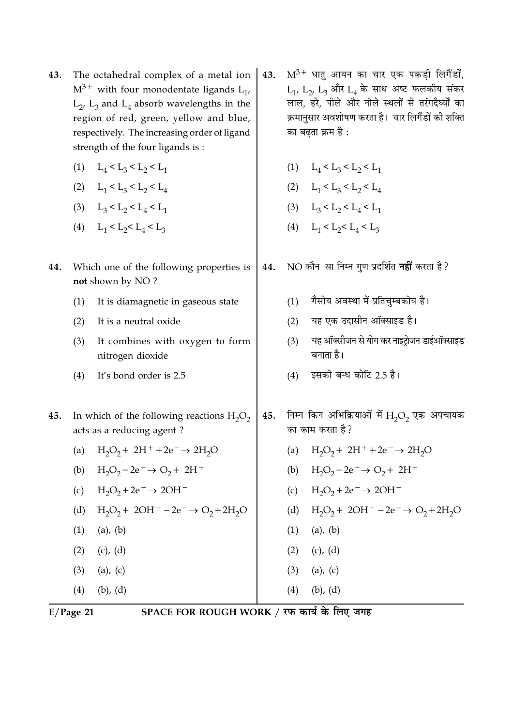| 43. | The octahedral complex of a metal ion $ $         |  |  |
|-----|---------------------------------------------------|--|--|
|     | $M^{3+}$ with four monodentate ligands $L_{1'}$   |  |  |
|     | $L_2$ , $L_3$ and $L_4$ absorb wavelengths in the |  |  |
|     | region of red, green, yellow and blue,            |  |  |
|     | respectively. The increasing order of ligand      |  |  |
|     | strength of the four ligands is:                  |  |  |

- (1)  $L_4 < L_3 < L_2 < L_1$
- (2)  $L_1 < L_3 < L_2 < L_4$
- (3)  $L_3 < L_2 < L_4 < L_1$
- (4)  $L_1 < L_2 < L_4 < L_3$
- Which one of the following properties is 44. not shown by NO?
	- It is diamagnetic in gaseous state  $(1)$
	- It is a neutral oxide  $(2)$
	- $(3)$ It combines with oxygen to form nitrogen dioxide
	- $(4)$ It's bond order is 2.5
- 45. In which of the following reactions  $H_2O_2$ acts as a reducing agent?
	- $H_2O_2$  + 2H<sup>+</sup> +2e<sup>-</sup>  $\rightarrow$  2H<sub>2</sub>O  $(a)$
	- (b)  $H_2O_2 2e^- \rightarrow O_2 + 2H^+$
	- (c)  $H_2O_2 + 2e^- \rightarrow 2OH^-$
	- $H_2O_2 + 2OH^- 2e^- \rightarrow O_2 + 2H_2O$  $(d)$
	- $(1)$  $(a)$ ,  $(b)$  $(2)$  $(c)$ ,  $(d)$
	- $(3)$  $(a)$ ,  $(c)$
	- $(4)$  $(b)$ ,  $(d)$
- 43.  $M^{3+}$  धातु आयन का चार एक पकडी लिगैंडों,  $L_1$ ,  $L_2$ ,  $L_3$  और  $L_4$  के साथ अष्ट फलकीय संकर लाल, हरे, पीले और नीले स्थलों से तरंगदैर्घ्यों का क्रमानुसार अवशोषण करता है। चार लिगैंडों की शक्ति का बढता क्रम है :
	- (1)  $L_4 < L_3 < L_2 < L_1$
	- (2)  $L_1 < L_3 < L_2 < L_4$
	- (3)  $L_3 < L_2 < L_4 < L_1$
	- (4)  $L_1 < L_2 < L_4 < L_3$
- NO कौन-सा निम्न गुण प्रदर्शित नहीं करता है ? 44.
	- गैसीय अवस्था में प्रतिचम्बकीय है।  $(1)$
	- यह एक उदासीन ऑक्साइड है।  $(2)$
	- यह ऑक्सीजन से योग कर नाइट्रोजन डाईऑक्साइड  $(3)$ बनाता है।
	- इसकी बन्ध कोटि 2.5 है।  $(4)$
- निम्न किन अभिक्रियाओं में  $\rm H_2O_2$  एक अपचायक 45. का काम करता है?
	- $H_2O_2$  + 2H<sup>+</sup> +2e<sup>-</sup>  $\rightarrow$  2H<sub>2</sub>O  $(a)$ (b)  $H_2O_2 - 2e^- \rightarrow O_2 + 2H^+$
	- (c)  $H_2O_2 + 2e^- \rightarrow 2OH^-$
	- (d)  $H_2O_2 + 2OH^- 2e^- \rightarrow O_2 + 2H_2O$
	- $(1)$  $(a)$ ,  $(b)$
	- $(2)$   $(c), (d)$

 $(b)$ ,  $(d)$ 

- $(3)$  $(a)$ ,  $(c)$
- $(4)$

 $E/Page$  21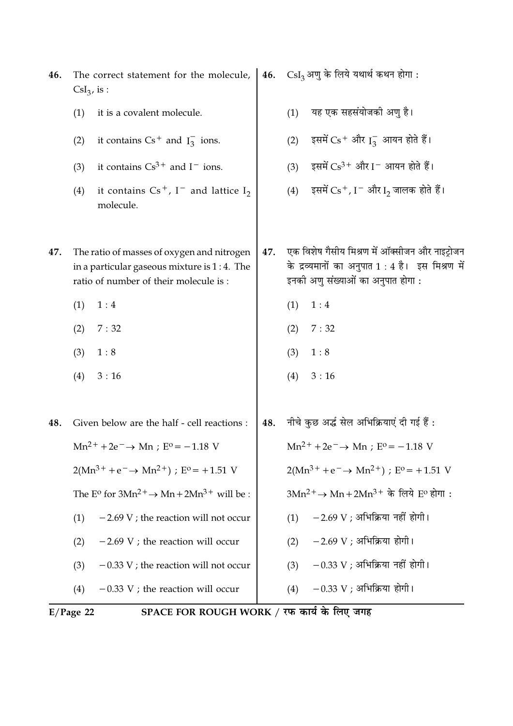| 46. | The correct statement for the molecule,<br>$CsI3$ , is :                                                                              | 46. | $\text{CsI}_3$ अणु के लिये यथार्थ कथन होगा:                                                                                              |
|-----|---------------------------------------------------------------------------------------------------------------------------------------|-----|------------------------------------------------------------------------------------------------------------------------------------------|
|     | (1)<br>it is a covalent molecule.                                                                                                     |     | यह एक सहसंयोजकी अणु है।<br>(1)                                                                                                           |
|     | it contains $Cs^+$ and $I_3^-$ ions.<br>(2)                                                                                           |     | इसमें $Cs$ <sup>+</sup> और $I_3^-$ आयन होते हैं।<br>(2)                                                                                  |
|     | it contains $Cs^{3+}$ and $I^-$ ions.<br>(3)                                                                                          |     | इसमें $Cs^{3+}$ और I - आयन होते हैं।<br>(3)                                                                                              |
|     | it contains $Cs^+$ , I <sup>-</sup> and lattice I <sub>2</sub><br>(4)<br>molecule.                                                    |     | इसमें $Cs+$ , I $^-$ और I <sub>2</sub> जालक होते हैं।<br>(4)                                                                             |
| 47. | The ratio of masses of oxygen and nitrogen<br>in a particular gaseous mixture is $1:4$ . The<br>ratio of number of their molecule is: | 47. | एक विशेष गैसीय मिश्रण में ऑक्सीजन और नाइट्रोजन<br>के द्रव्यमानों का अनुपात 1 : 4 है। इस मिश्रण में<br>इनकी अणु संख्याओं का अनुपात होगा : |
|     | (1)<br>1:4                                                                                                                            |     | (1)<br>1:4                                                                                                                               |
|     | (2)<br>7:32                                                                                                                           |     | 7:32<br>(2)                                                                                                                              |
|     | (3)<br>1:8                                                                                                                            |     | (3)<br>1:8                                                                                                                               |
|     | (4)<br>3:16                                                                                                                           |     | (4)<br>3:16                                                                                                                              |
| 48. | Given below are the half - cell reactions :                                                                                           | 48. | नीचे कुछ अर्द्ध सेल अभिक्रियाएं दी गई हैं :                                                                                              |
|     | $Mn^{2+} + 2e^- \rightarrow Mn$ ; $E^0 = -1.18$ V                                                                                     |     | $Mn^{2+} + 2e^- \rightarrow Mn$ ; $E^{\circ} = -1.18$ V                                                                                  |
|     | $2(Mn^{3+} + e^- \rightarrow Mn^{2+})$ ; E <sup>o</sup> = +1.51 V                                                                     |     | $2(Mn^{3+} + e^- \rightarrow Mn^{2+})$ ; E <sup>o</sup> = +1.51 V                                                                        |
|     | The E <sup>o</sup> for $3Mn^2$ <sup>+</sup> $\rightarrow$ Mn + $2Mn^3$ <sup>+</sup> will be :                                         |     | $3Mn^2$ <sup>+</sup> → Mn + 2Mn <sup>3+</sup> के लिये E <sup>o</sup> होगा:                                                               |
|     | $-2.69$ V; the reaction will not occur<br>(1)                                                                                         |     | $-2.69$ V ; अभिक्रिया नहीं होगी।<br>(1)                                                                                                  |
|     | $-2.69$ V ; the reaction will occur<br>(2)                                                                                            |     | $-2.69$ V ; अभिक्रिया होगी।<br>(2)                                                                                                       |
|     | $-0.33$ V; the reaction will not occur<br>(3)                                                                                         |     | $-0.33$ V ; अभिक्रिया नहीं होगी।<br>(3)                                                                                                  |
|     | $-0.33$ V; the reaction will occur<br>(4)                                                                                             |     | $-0.33$ V ; अभिक्रिया होगी।<br>(4)                                                                                                       |

E/Page 22 SPACE FOR ROUGH WORK / रफ कार्य के लिए जगह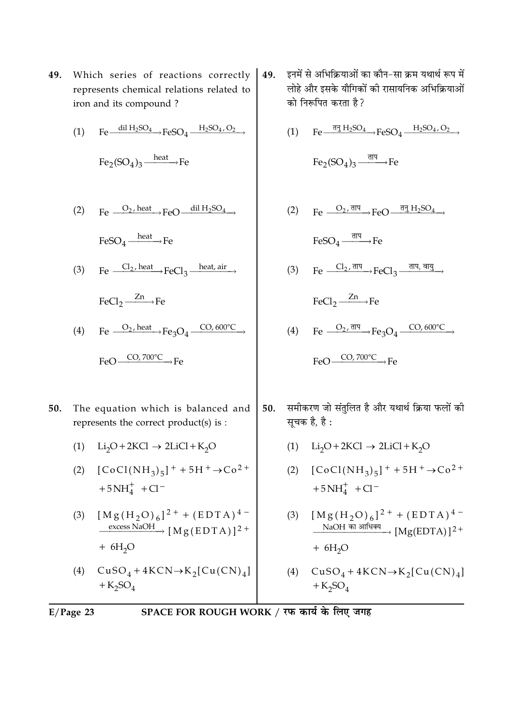**49.** Which series of reactions correctly represents chemical relations related to iron and its compound ?

(1) 
$$
Fe \xrightarrow{dil H_2SO_4} FeSO_4 \xrightarrow{H_2SO_4,O_2} FeSO_4 \xrightarrow{H_2SO_4,O_2} FeSO_4
$$

(2) Fe 
$$
\xrightarrow{O_2, heat} FeO
$$
  $\xrightarrow{dil H_2SO_4}$   
FeSO<sub>4</sub>  $\xrightarrow{heat}$  Fe

(3) Fe  $\frac{Cl_2, heat}{I}$  FeCl<sub>3</sub>  $\frac{heat, air}{I}$ 

 $\text{FeCl}_2 \xrightarrow{Zn} \text{Fe}$ 

- (4) Fe  $\frac{O_2 \text{ heat}}{1}$  Fe  $\frac{O_2 \text{ heat}}{1}$  Fe  $\frac{O_4 \text{ CO}, 600^{\circ} \text{C}}{1}$  $FeO \longrightarrow CO, 700^{\circ}C \longrightarrow Fe$
- $50.$ he equation which is balanced and represents the correct product(s) is :
	- (1)  $Li_2O + 2KCl \rightarrow 2LiCl + K_2O$
	- (2)  $[CoCl(NH_3)_5]^{+} + 5H^{+} \rightarrow Co^{2+}$  $+5NH<sub>4</sub><sup>+</sup> + Cl<sup>-</sup>$
	- (3)  $[Mg(H_2O)_6]^{2+} + (EDTA)^{4-}$  $\frac{\text{excess NaOH}}{[M g (EDTA)]^{2}}$  $+ 6H<sub>2</sub>O$
	- (4)  $CuSO_4 + 4KCN \rightarrow K_2[Cu(CN)_4]$  $+K_2SO_4$
- 49. इनमें से अभिक्रियाओं का कौन–सा क्रम यथार्थ रूप में लोहे और इसके यौगिकों को रासायनिक अभिक्रियाओं को निरूपित करता है ?<br>'
	- (1) Fe  $\frac{\overline{q_3} H_2 SO_4}{\overline{H_2} SO_4}$  FeSO<sub>4</sub>  $\frac{H_2 SO_4 O_2}{\overline{O_4}}$

$$
Fe_2(SO_4)_3 \xrightarrow{\overline{\text{dIP}}}
$$
Fe

- (2)  $\text{Fe} \xrightarrow{O_2, \text{d} \text{H}} \text{FeO} \xrightarrow{\text{d} \text{H}_2 \text{SO}_4}$  ${\rm FeSO}_4 \xrightarrow{\overline{\rm d}{\rm H}{\rm H}} {\rm Fe}$
- (3) Fe  $\frac{Cl_2, \overline{d} \Pi}{\longrightarrow} FeCl_3 \xrightarrow{\overline{d} \Pi \Pi, \overline{d} \Pi \underline{g}}$

$$
FeCl_2 \xrightarrow{Zn} Fe
$$

- (4) Fe  $\frac{O_2, \overline{\text{d}}\overline{\text{d}}}{\text{Fe}_3\text{O}_4} \xrightarrow{\text{CO}, 600^\circ\text{C}}$  $FeO \longrightarrow CO, 700^{\circ}C \longrightarrow Fe$
- $50.$ करण जो संतुलित है और यथार्थ क्रिया फलों को सूचक है, है :
	- (1)  $Li_2O + 2KCl \rightarrow 2LiCl + K_2O$
	- (2)  $[CoCl(NH_3)_5]^{+} + 5H^{+} \rightarrow Co^{2+}$  $+5NH<sub>4</sub><sup>+</sup> + Cl<sup>-</sup>$
	- (3)  $[Mg(H_2O)_6]^{2+} + (EDTA)^{4-}$  $\longrightarrow$   $[{\rm Mg(EDTA)}]^{2+}$  $+6H<sub>2</sub>O$
	- (4)  $CuSO_4 + 4KCN \rightarrow K_2[Cu(CN)_4]$  $+$ K<sub>2</sub>SO<sub>4</sub>

$$
E/Page 23
$$

 **-**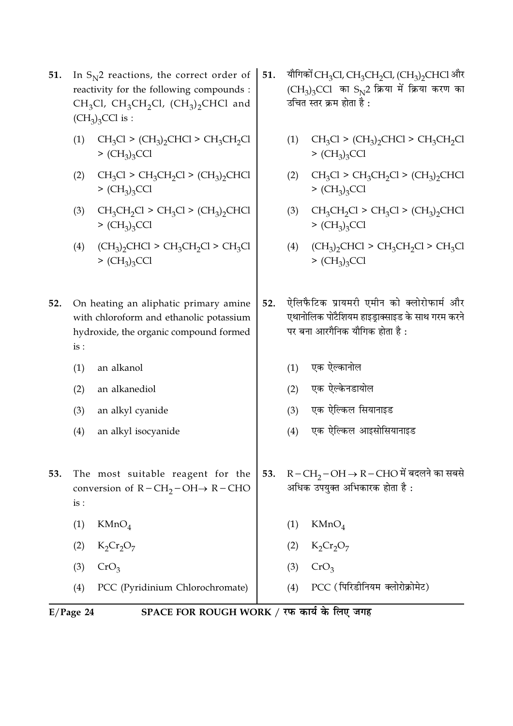- 51. In  $S_{N^2}$  reactions, the correct order of reactivity for the following compounds : CH<sub>3</sub>Cl, CH<sub>3</sub>CH<sub>2</sub>Cl, (CH<sub>3</sub>)<sub>2</sub>CHCl and  $(CH_3)_3$ CCl is :
	- (1)  $CH_3Cl$  >  $(CH_3)_2CHCl$  >  $CH_3CH_2Cl$  $>(CH<sub>3</sub>)<sub>3</sub>CCl$
	- $(2)$  $CH_3Cl > CH_3CH_2Cl > (CH_3)_2CHCl$  $>(CH<sub>3</sub>)<sub>3</sub>CCl$
	- $CH_3CH_2Cl$  >  $CH_3Cl$  >  $(CH_3)_2CHCl$  $(3)$  $>(CH<sub>3</sub>)<sub>3</sub>CCl$
	- $(CH_3)_2$ CHCl > CH<sub>3</sub>CH<sub>2</sub>Cl > CH<sub>3</sub>Cl  $(4)$  $>(CH<sub>3</sub>)<sub>3</sub>CCl$
- 52. On heating an aliphatic primary amine with chloroform and ethanolic potassium hydroxide, the organic compound formed  $is:$ 
	- $(1)$ an alkanol
	- $(2)$ an alkanediol
	- $(3)$ an alkyl cyanide
	- $(4)$ an alkyl isocyanide
- 53. The most suitable reagent for the conversion of  $R - CH_2-OH \rightarrow R - CHO$  $is:$ 
	- $KMnO<sub>4</sub>$  $(1)$
	- $K_2Cr_2O_7$  $(2)$
	- $(3)$  $CrO<sub>3</sub>$
	- PCC (Pyridinium Chlorochromate)  $(4)$
- यौगिकों CH<sub>3</sub>Cl, CH<sub>3</sub>CH<sub>2</sub>Cl, (CH<sub>3</sub>)<sub>2</sub>CHCl और 51.  $(CH_3)_3$ CCl का S<sub>N2</sub> क्रिया में क्रिया करण का उचित स्तर क्रम होता है:
	- (1)  $CH_3Cl > (CH_3)_2CHCl > CH_3CH_2Cl$  $>(CH<sub>3</sub>)<sub>3</sub>CCl$
	- (2)  $CH_3Cl > CH_3CH_2Cl > (CH_3)_2CHCl$  $>(CH<sub>3</sub>)<sub>3</sub>CCl$
	- (3)  $CH_3CH_2Cl > CH_3Cl > (CH_3)_2CHCl$  $>(CH<sub>3</sub>)<sub>3</sub>CCl$
	- $(4)$  $(CH_3)_2$ CHCl > CH<sub>3</sub>CH<sub>2</sub>Cl > CH<sub>3</sub>Cl  $>(CH<sub>3</sub>)<sub>3</sub>CCl$
- ऐलिफैटिक प्रायमरी एमीन को क्लोरोफार्म और  $52.$ एथानोलिक पोटैशियम हाइड़ाक्साइड के साथ गरम करने पर बना आरगैनिक यौगिक होता है:
	- (1) एक ऐल्कानोल
	- (2) एक ऐल्केनडायोल
	- एक ऐल्किल सियानाइड  $(3)$
	- एक ऐल्किल आइसोसियानाइड  $(4)$
- $R-CH_{2}-OH \rightarrow R-CHO$  में बदलने का सबसे 53. अधिक उपयक्त अभिकारक होता है:
	- $KMnO<sub>4</sub>$  $(1)$
	- $K_2Cr_2O_7$  $(2)$
	- $(3)$  $CrO<sub>3</sub>$
	- PCC (पिरिडीनियम क्लोरोक्रोमेट)  $(4)$

 $E/Page 24$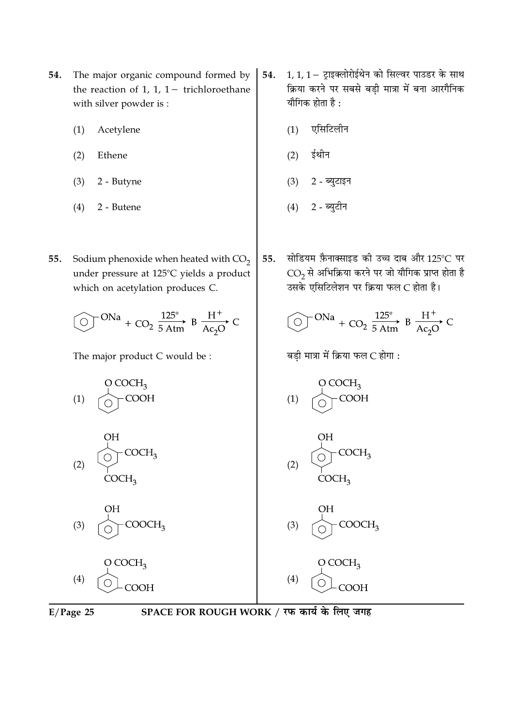- The major organic compound formed by 54. the reaction of 1, 1,  $1-$  trichloroethane with silver powder is:
	- $(1)$ Acetylene
	- $(2)$ Ethene
	- $(3)$ 2 - Butyne
	- $(4)$ 2 - Butene
- Sodium phenoxide when heated with  $CO<sub>2</sub>$ 55. under pressure at 125°C yields a product which on acetylation produces C.

$$
\textcircled{O}^{\text{N}a} + \text{CO}_2\xrightarrow[5\text{Atm}]{}B\overset{H^+}{\underset{Ac_2O}{\longrightarrow}}C
$$

The major product C would be :





- 1, 1, 1 ट्राइक्लोरोईथेन को सिल्वर पाउडर के साथ 54. क्रिया करने पर सबसे बड़ी मात्रा में बना आरगैनिक यौगिक होता है :
	- एसिटिलीन  $(1)$
	- ईथीन  $(2)$
	- $(3)$ 2 - ब्युटाइन
	- 2 ब्युटीन  $(4)$
- सोडियम फ़ैनाक्साइड की उच्च दाब और 125°C पर 55.  $\overline{\text{CO}_2}$ से अभिक्रिया करने पर जो यौगिक प्राप्त होता है उसके एसिटिलेशन पर क्रिया फल C होता है।

$$
\textcircled{ } \text{ }^{ONa} + \text{CO}_2 \xrightarrow{125^\circ} \text{B} \xrightarrow{H^+} \text{C}
$$

बड़ी मात्रा में क्रिया फल C होगा :

COOH

 $COCH<sub>3</sub>$ 

COOCH<sub>3</sub>

COOH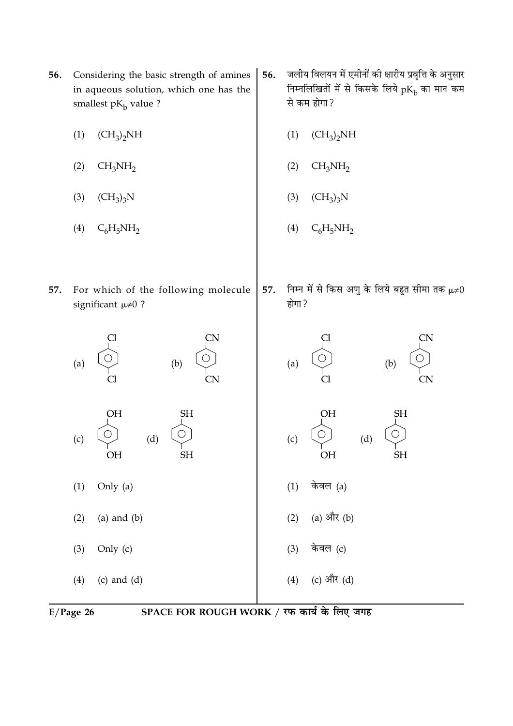

- 56. Considering the basic strength of amines in aqueous solution, which one has the smallest  $pK_b$  value ?
	- $(1)$  $(CH_3)_2NH$
- जलीय विलयन में एमीनों की क्षारीय प्रवृत्ति के अनुसार 56. निम्नलिखितों में से किसके लिये  $pK_{\rm b}$  का मान कम से कम होगा?
	- $(CH_3)_2NH$  $(1)$

57.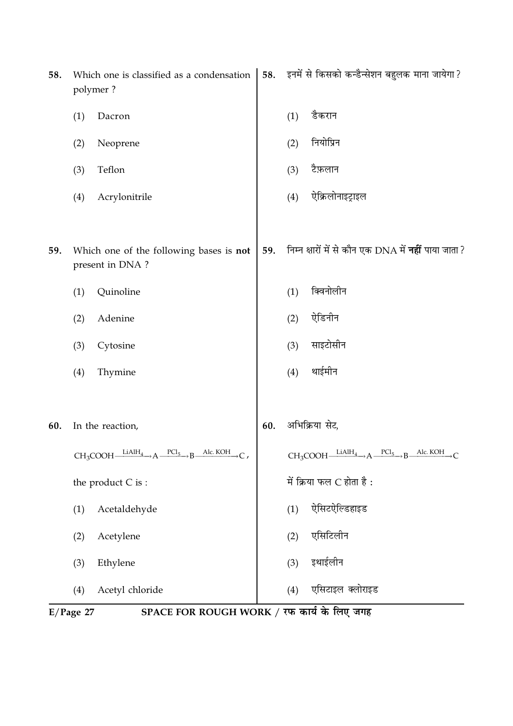| 58. |     | Which one is classified as a condensation<br>polymer?                                 | 58. |     | इनमें से किसको कन्डैन्सेशन बहुलक माना जायेगा ?                                    |
|-----|-----|---------------------------------------------------------------------------------------|-----|-----|-----------------------------------------------------------------------------------|
|     | (1) | Dacron                                                                                |     | (1) | डैकरान                                                                            |
|     | (2) | Neoprene                                                                              |     | (2) | नियोप्रिन                                                                         |
|     | (3) | Teflon                                                                                |     | (3) | टैफ़लान                                                                           |
|     | (4) | Acrylonitrile                                                                         |     | (4) | ऐक्रिलोनाइट्राइल                                                                  |
| 59. |     | Which one of the following bases is not<br>present in DNA?                            | 59. |     | निम्न क्षारों में से कौन एक DNA में <b>नहीं</b> पाया जाता ?                       |
|     | (1) | Quinoline                                                                             |     | (1) | क्विनोलीन                                                                         |
|     | (2) | Adenine                                                                               |     | (2) | ऐडिनीन                                                                            |
|     | (3) | Cytosine                                                                              |     | (3) | साइटोसीन                                                                          |
|     | (4) | Thymine                                                                               |     | (4) | थाईमीन                                                                            |
|     |     |                                                                                       |     |     |                                                                                   |
| 60. |     | In the reaction,                                                                      | 60. |     | अभिक्रिया सेट,                                                                    |
|     |     | $CH_3COOH \xrightarrow{LiAlH_4} A \xrightarrow{PCl_5} B$<br>Alc. KOH $\rightarrow$ C, |     |     | $CH_3COOH \xrightarrow{LiAlH_4} A \xrightarrow{PCl_5} B \xrightarrow{Alc. KOH} C$ |
|     |     | the product C is :                                                                    |     |     | में क्रिया फल $C$ होता है:                                                        |
|     | (1) | Acetaldehyde                                                                          |     | (1) | ऐसिटऐल्डिहाइड                                                                     |
|     | (2) | Acetylene                                                                             |     | (2) | एसिटिलीन                                                                          |
|     | (3) | Ethylene                                                                              |     | (3) | इथाईलीन                                                                           |
|     | (4) | Acetyl chloride                                                                       |     | (4) | एसिटाइल क्लोराइड                                                                  |

E/Page 27 SPACE FOR ROUGH WORK / रफ कार्य के लिए जगह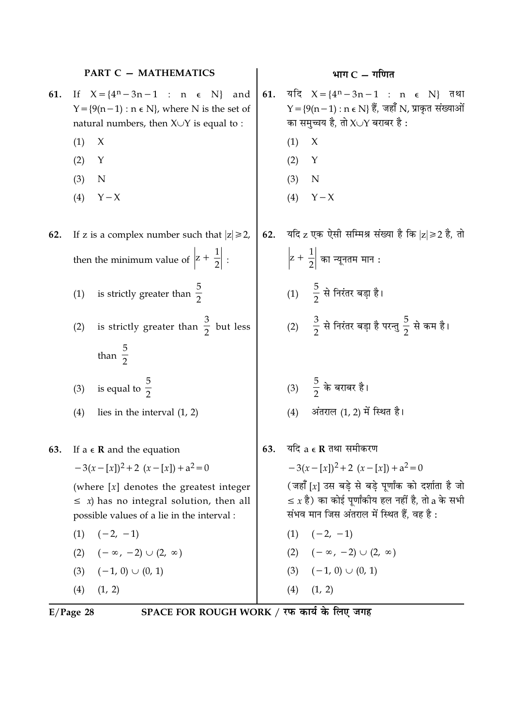|     | PART C - MATHEMATICS                                                                                                                               |     | भाग $C - \overline{\eta}$ गणित                                                                                                                             |
|-----|----------------------------------------------------------------------------------------------------------------------------------------------------|-----|------------------------------------------------------------------------------------------------------------------------------------------------------------|
| 61. | If $X = \{4^n - 3n - 1 : n \in N\}$<br>and<br>$Y = \{9(n-1) : n \in N\}$ , where N is the set of<br>natural numbers, then $X \cup Y$ is equal to : | 61. | यदि $X = \{4^n - 3n - 1 : n \in N\}$ तथा<br>$Y = \{9(n-1) : n \in N\}$ हैं, जहाँ N, प्राकृत संख्याओं<br>का समुच्चय है, तो X $\cup$ Y बराबर है :            |
|     | (1)<br>X                                                                                                                                           |     | X<br>(1)                                                                                                                                                   |
|     | (2)<br>Y                                                                                                                                           |     | (2)<br>Y                                                                                                                                                   |
|     | (3)<br>N                                                                                                                                           |     | (3)<br>N                                                                                                                                                   |
|     | (4)<br>$Y - X$                                                                                                                                     |     | $Y - X$<br>(4)                                                                                                                                             |
| 62. | If z is a complex number such that $ z  \ge 2$ ,                                                                                                   | 62. | यदि z एक ऐसी सम्मिश्र संख्या है कि  z ≥2 है, तो                                                                                                            |
|     | then the minimum value of $\left z + \frac{1}{2}\right $ :                                                                                         |     | $\left z+\frac{1}{2}\right $ का न्यूनतम मान :                                                                                                              |
|     | is strictly greater than $\frac{5}{2}$<br>(1)                                                                                                      |     | $(1)$ $\frac{5}{2}$ से निरंतर बड़ा है।                                                                                                                     |
|     | is strictly greater than $\frac{3}{2}$ but less<br>(2)                                                                                             |     | (2) $\frac{3}{2}$ से निरंतर बड़ा है परन्तु $\frac{5}{2}$ से कम है।                                                                                         |
|     | than $\frac{5}{2}$                                                                                                                                 |     |                                                                                                                                                            |
|     | is equal to $\frac{5}{2}$<br>(3)                                                                                                                   |     | (3) $\frac{5}{2}$ के बराबर है।                                                                                                                             |
|     | (4)<br>lies in the interval $(1, 2)$                                                                                                               |     | अंतराल (1, 2) में स्थित है।<br>(4)                                                                                                                         |
| 63. | If $a \in \mathbb{R}$ and the equation                                                                                                             | 63. | यदि $a \in \mathbf{R}$ तथा समीकरण                                                                                                                          |
|     | $-3(x-[x])^2+2(x-[x])+a^2=0$                                                                                                                       |     | $-3(x-[x])^2+2(x-[x])+a^2=0$                                                                                                                               |
|     | (where $[x]$ denotes the greatest integer<br>$\leq x$ ) has no integral solution, then all<br>possible values of a lie in the interval :           |     | (जहाँ [x] उस बड़े से बड़े पूर्णांक को दर्शाता है जो<br>$\leq x$ है) का कोई पूर्णांकीय हल नहीं है, तो a के सभी<br>संभव मान जिस अंतराल में स्थित हैं, वह है: |
|     | $(1) \quad (-2, -1)$                                                                                                                               |     | $(1) \quad (-2, -1)$                                                                                                                                       |
|     | $(2) \quad (-\infty, -2) \cup (2, \infty)$                                                                                                         |     | $(2) \quad (-\infty, -2) \cup (2, \infty)$                                                                                                                 |
|     | $(3) \quad (-1, 0) \cup (0, 1)$                                                                                                                    |     | $(3) (-1, 0) \cup (0, 1)$                                                                                                                                  |
|     | (1, 2)<br>(4)                                                                                                                                      |     | $(4)$ $(1, 2)$                                                                                                                                             |

 $E/Page$  28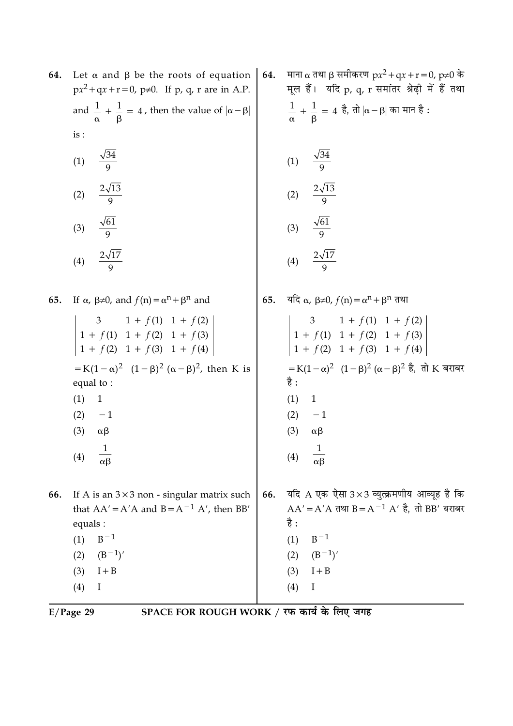| 64. | Let $\alpha$ and $\beta$ be the roots of equation<br>$px^2 + qx + r = 0$ , p≠0. If p, q, r are in A.P. | 64. | माना α तथा β समीकरण px <sup>2</sup> + qx + r = 0, p≠0 के<br>मूल हैं। यदि p, q, r समांतर श्रेढ़ी में हैं तथा |
|-----|--------------------------------------------------------------------------------------------------------|-----|-------------------------------------------------------------------------------------------------------------|
|     | and $\frac{1}{\alpha} + \frac{1}{\beta} = 4$ , then the value of $ \alpha - \beta $                    |     | $\frac{1}{\alpha} + \frac{1}{\beta} = 4$ है, तो $ \alpha-\beta $ का मान है :                                |
|     | is:                                                                                                    |     |                                                                                                             |
|     | $\frac{\sqrt{34}}{9}$<br>(1)                                                                           |     | $\frac{\sqrt{34}}{9}$<br>(1)                                                                                |
|     | $\frac{2\sqrt{13}}{9}$<br>(2)                                                                          |     | $\frac{2\sqrt{13}}{9}$<br>(2)                                                                               |
|     | $\frac{\sqrt{61}}{9}$<br>(3)                                                                           |     | $\frac{\sqrt{61}}{9}$<br>(3)                                                                                |
|     | $\frac{2\sqrt{17}}{9}$<br>(4)                                                                          |     | $\frac{2\sqrt{17}}{\Omega}$<br>(4)                                                                          |
| 65. | If $\alpha$ , $\beta \neq 0$ , and $f(n) = \alpha^{n} + \beta^{n}$ and                                 | 65. | यदि $\alpha$ , $\beta \neq 0$ , $f(n) = \alpha^n + \beta^n$ तथा                                             |
|     | 3 1 + $f(1)$ 1 + $f(2)$<br>1 + $f(1)$ 1 + $f(2)$ 1 + $f(3)$<br>1 + $f(2)$ 1 + $f(3)$ 1 + $f(4)$        |     | $\begin{vmatrix} 3 & 1+f(1) & 1+f(2) \\ 1+f(1) & 1+f(2) & 1+f(3) \\ 1+f(2) & 1+f(3) & 1+f(4) \end{vmatrix}$ |
|     | = K(1 – α) <sup>2</sup> (1 – β) <sup>2</sup> (α – β) <sup>2</sup> , then K is<br>equal to:             |     | =K(1 – α) <sup>2</sup> (1 – β) <sup>2</sup> (α – β) <sup>2</sup> है, तो K बराबर<br>है :                     |
|     | (1)<br>$\mathbf{1}$                                                                                    |     | (1)<br>$\mathbf{1}$                                                                                         |
|     | (2)<br>$-1$                                                                                            |     | $-1$<br>(2)                                                                                                 |
|     | (3)<br>$\alpha\beta$                                                                                   |     | (3)<br>$\alpha\beta$                                                                                        |
|     | (4)<br>$\alpha\beta$                                                                                   |     | (4)<br>$\alpha\beta$                                                                                        |
| 66. | If A is an $3 \times 3$ non - singular matrix such<br>that $AA' = A'A$ and $B = A^{-1} A'$ , then BB'  | 66. | यदि A एक ऐसा $3 \times 3$ व्युत्क्रमणीय आव्यूह है कि<br>$AA' = A'A$ तथा B = $A^{-1}A'$ है, तो BB' बराबर     |
|     | equals :<br>$B^{-1}$<br>(1)                                                                            |     | है :<br>$B^{-1}$<br>(1)                                                                                     |
|     | $(B^{-1})'$<br>(2)                                                                                     |     | $(B^{-1})'$<br>(2)                                                                                          |
|     | $I + B$<br>(3)                                                                                         |     | $I + B$<br>(3)                                                                                              |
|     | (4)<br>I                                                                                               |     | (4)<br>I                                                                                                    |
|     |                                                                                                        |     |                                                                                                             |

 $E/Page 29$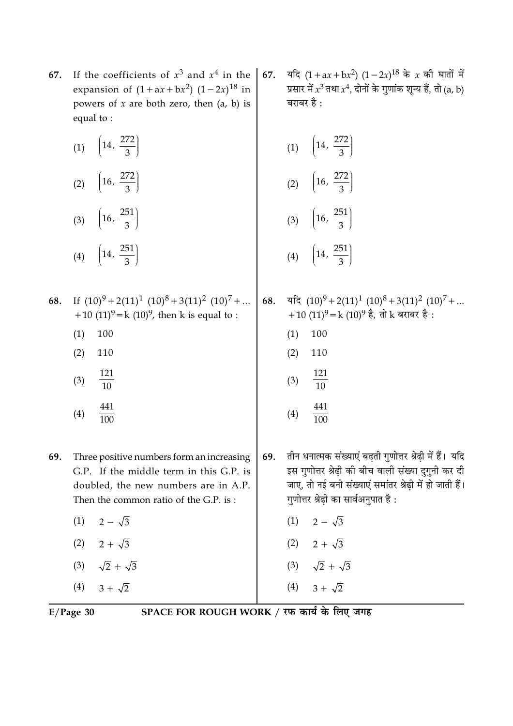- If the coefficients of  $x^3$  and  $x^4$  in the 67. expansion of  $(1 + ax + bx^2)$   $(1 - 2x)^{18}$  in powers of  $x$  are both zero, then  $(a, b)$  is equal to:
	- (1)  $\left(14, \frac{272}{3}\right)$ (2)  $\left(16, \frac{272}{3}\right)$ (3)  $\left(16, \frac{251}{3}\right)$ (4)  $\left(14, \frac{251}{3}\right)$
- If  $(10)^9 + 2(11)^1 (10)^8 + 3(11)^2 (10)^7 + ...$ 68. +10  $(11)^9$  = k  $(10)^9$ , then k is equal to :
	- $(1)$ 100
	- $(2)$ 110
	- 121  $(3)$  $\overline{10}$
	- 441  $(4)$  $100$
- 69. Three positive numbers form an increasing G.P. If the middle term in this G.P. is doubled, the new numbers are in A.P. Then the common ratio of the G.P. is:
	- $2 \sqrt{3}$  $(1)$
	- $(2)$  2 +  $\sqrt{3}$ (3)  $\sqrt{2} + \sqrt{3}$
	-
	- $(4)$  3 +  $\sqrt{2}$

यदि  $(1 + ax + bx^2) (1 - 2x)^{18}$  के x की घातों में 67. प्रसार में  $x^3$  तथा  $x^4$ , दोनों के गुणांक शून्य हैं, तो (a, b) बराबर है $\cdot$ 

(1) 
$$
\left(14, \frac{272}{3}\right)
$$
  
\n(2)  $\left(16, \frac{272}{3}\right)$   
\n(3)  $\left(16, \frac{251}{3}\right)$ 

$$
(4) \quad \left(14, \frac{251}{3}\right)
$$

यदि  $(10)^9 + 2(11)^1 (10)^8 + 3(11)^2 (10)^7 + ...$ 68. +10  $(11)^9$  = k  $(10)^9$  है, तो k बराबर है :

- $(1)$ 100
- $(2)$ 110
- 121  $(3)$  $\overline{10}$

$$
(4) \quad \frac{441}{100}
$$

- तीन धनात्मक संख्याएं बढ़ती गुणोत्तर श्रेढ़ी में हैं। यदि 69. इस गुणोत्तर श्रेढी की बीच वाली संख्या दुगुनी कर दी जाए, तो नई बनी संख्याएं समांतर श्रेढ़ी में हो जाती हैं। गुणोत्तर श्रेढ़ी का सार्वअनुपात है:
	- $(1)$   $2-\sqrt{3}$
	- (2)  $2 + \sqrt{3}$
	- (3)  $\sqrt{2} + \sqrt{3}$

 $(4)$ 

 $3 + \sqrt{2}$ 

 $E/Page$  30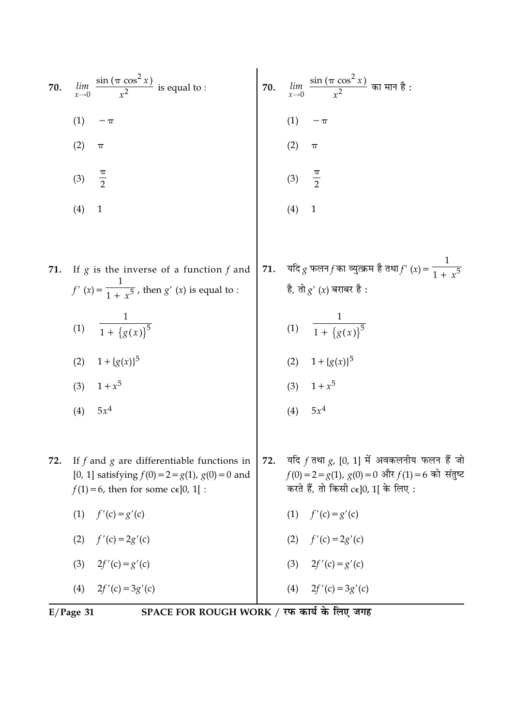70. 
$$
\lim_{x \to 0} \frac{\sin (\pi \cos^2 x)}{x^2}
$$
 is equal to :  
\n(1)  $-\pi$   
\n(2)  $\pi$   
\n(3)  $\frac{\pi}{2}$   
\n(4) 1  
\n71. If *g* is the inverse of a function *f* and  
\n $f'(x) = \frac{1}{1 + x^5}$ , then *g'* (*x*) is equal to :  
\n(1)  $\frac{\pi}{1 + \{g(x)\}^5}$   
\n(2)  $\pi$   
\n(3)  $\frac{\pi}{2}$   
\n(4) 1  
\n(5)  $\frac{\pi}{3}$   
\n(6)  $\frac{\pi}{2}$   
\n(7)  $\lim_{x \to 0} \frac{\sin (\pi \cos^2 x)}{x^2} \text{ at } \pi \text{ at } \pi \text{ at } \pi \text{ at } \pi \text{ at } \pi \text{ at } \pi \text{ at } \pi \text{ at } \pi \text{ at } \pi \text{ at } \pi \text{ at } \pi \text{ at } \pi \text{ at } \pi \text{ at } \pi \text{ at } \pi \text{ at } \pi \text{ at } \pi \text{ at } \pi \text{ at } \pi \text{ at } \pi \text{ at } \pi \text{ at } \pi \text{ at } \pi \text{ at } \pi \text{ at } \pi \text{ at } \pi \text{ at } \pi \text{ at } \pi \text{ at } \pi \text{ at } \pi \text{ at } \pi \text{ at } \pi \text{ at } \pi \text{ at } \pi \text{ at } \pi \text{ at } \pi \text{ at } \pi \text{ at } \pi \text{ at } \pi \text{ at } \pi \text{ at } \pi \text{ at } \pi \text{ at } \pi \text{ at } \pi \text{ at } \pi \text{ at } \pi \text{ at } \pi \text{ at } \pi \text{ at } \pi \text{ at } \pi \text{ at } \pi \text{ at } \pi \text{ at } \pi \text{ at } \pi \text{ at } \pi \text{ at } \pi \text{ at } \pi \text{ at } \pi \text{ at } \pi \text{ at } \pi \text{ at } \pi \text{ at } \pi \text{ at } \pi \text{ at } \pi \text{ at } \pi \text{ at } \pi \text{ at } \pi \text{ at }$ 

(2) 
$$
1 + {g(x)}^5
$$
  
\n(3)  $1 + x^5$   
\n(4)  $5x^4$   
\n(5)  $5x^4$   
\n(6)  $1 + {g(x)}^5$   
\n(7)  $1 + {g(x)}^5$   
\n(8)  $1 + x^5$   
\n(9)  $5x^4$ 

यदि  $f$  तथा  $g$ ,  $[0, 1]$  में अवकलनीय फलन हैं जो 72. 72. If  $f$  and  $g$  are differentiable functions in  $f(0) = 2 = g(1), g(0) = 0$  और  $f(1) = 6$  को संतुष्ट [0, 1] satisfying  $f(0) = 2 = g(1)$ ,  $g(0) = 0$  and करते हैं, तो किसी  $c\in]0,1[$  के लिए:  $f(1) = 6$ , then for some c $\epsilon$ [0, 1] :  $(1)$  $f'(c) = g'(c)$  $f'(c) = g'(c)$  $(1)$  $(2)$  $f'(c) = 2g'(c)$  $(2)$  $f'(c) = 2g'(c)$  $2f'(c) = g'(c)$  $(3)$  $(3)$  $2f'(c) = g'(c)$  $(4)$  $2f'(c) = 3g'(c)$  $(4)$  $2f'(c) = 3g'(c)$ 

 $E/Page$  31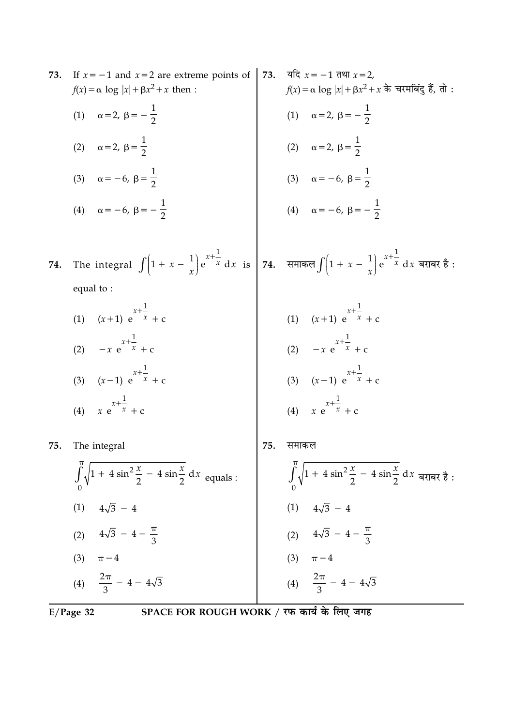| 73.                                                       | If $x = -1$ and $x = 2$ are extreme points of<br>$f(x) = \alpha \log  x  + \beta x^2 + x$ then : | 73. | यदि $x = -1$ तथा $x = 2$ ,<br>$f(x) = \alpha \log  x  + \beta x^2 + x$ के चरमबिंदु हैं, तो : |
|-----------------------------------------------------------|--------------------------------------------------------------------------------------------------|-----|----------------------------------------------------------------------------------------------|
|                                                           | (1) $\alpha = 2, \beta = -\frac{1}{2}$                                                           |     | (1) $\alpha = 2, \beta = -\frac{1}{2}$                                                       |
|                                                           | (2) $\alpha = 2, \ \beta = \frac{1}{2}$                                                          |     | (2) $\alpha = 2, \ \beta = \frac{1}{2}$                                                      |
|                                                           | (3) $\alpha = -6, \ \beta = \frac{1}{2}$                                                         |     | (3) $\alpha = -6, \ \beta = \frac{1}{2}$                                                     |
|                                                           | (4) $\alpha = -6, \ \beta = -\frac{1}{2}$                                                        |     | (4) $\alpha = -6, \beta = -\frac{1}{2}$                                                      |
| 74.                                                       | The integral $\int (1 + x - \frac{1}{x}) e^{x + \frac{1}{x}} dx$ is<br>equal to:                 |     | <b>74.</b> समाकल $\int \left(1 + x - \frac{1}{x}\right) e^{x + \frac{1}{x}} dx$ बराबर है:    |
|                                                           | (1) $(x+1) e^{x+\frac{1}{x}} + c$                                                                |     | (1) $(x+1) e^{x+\frac{1}{x}} + c$                                                            |
|                                                           | (2) $-x e^{x + \frac{1}{x}} + c$                                                                 |     | (2) $-x e^{x+\frac{1}{x}} + c$                                                               |
|                                                           | (3) $(x-1) e^{x+\frac{1}{x}} + c$                                                                |     | (3) $(x-1) e^{x+\frac{1}{x}} + c$                                                            |
|                                                           | (4) $x e^{x + \frac{1}{x}} + c$                                                                  |     | (4) $x e^{x + \frac{1}{x}} + c$                                                              |
| 75.                                                       | The integral                                                                                     | 75. | समाकल                                                                                        |
|                                                           | $\int_0^{\pi} \sqrt{1 + 4 \sin^2 \frac{x}{2}} - 4 \sin \frac{x}{2} dx$ equals :                  |     | $\int_{0}^{\pi} \sqrt{1+4\sin^2{\frac{x}{2}}-4\sin{\frac{x}{2}}}\,dx$ बराबर है:              |
|                                                           | (1) $4\sqrt{3} - 4$                                                                              |     | (1) $4\sqrt{3} - 4$                                                                          |
|                                                           | (2) $4\sqrt{3} - 4 - \frac{\pi}{3}$                                                              |     | (2) $4\sqrt{3} - 4 - \frac{\pi}{3}$                                                          |
|                                                           | (3) $\pi - 4$                                                                                    |     | (3) $\pi - 4$                                                                                |
|                                                           | (4) $\frac{2\pi}{3}$ - 4 - 4 $\sqrt{3}$                                                          |     | (4) $\frac{2\pi}{3}$ - 4 - $4\sqrt{3}$                                                       |
| SPACE FOR ROUGH WORK / रफ कार्य के लिए जगह<br>$E/Page$ 32 |                                                                                                  |     |                                                                                              |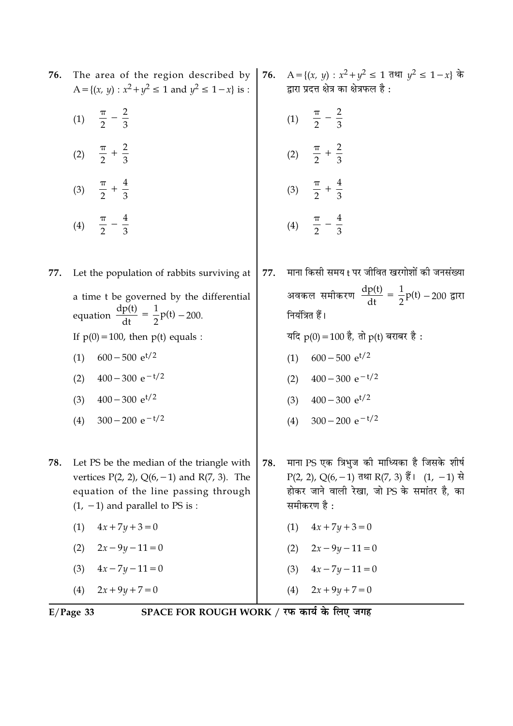| 76. | The area of the region described by $\vert$<br>A = { $(x, y)$ : $x^2 + y^2 \le 1$ and $y^2 \le 1 - x$ } is :                                                                                                                                                                                           | 76. | A = {(x, y) : $x^2 + y^2$ ≤ 1 तथा $y^2$ ≤ 1 − x} के<br>द्वारा प्रदत्त क्षेत्र का क्षेत्रफल है :                                                                                                                                                                                           |
|-----|--------------------------------------------------------------------------------------------------------------------------------------------------------------------------------------------------------------------------------------------------------------------------------------------------------|-----|-------------------------------------------------------------------------------------------------------------------------------------------------------------------------------------------------------------------------------------------------------------------------------------------|
|     | (1) $\frac{\pi}{2} - \frac{2}{3}$                                                                                                                                                                                                                                                                      |     | (1) $\frac{\pi}{2} - \frac{2}{3}$                                                                                                                                                                                                                                                         |
|     | (2) $\frac{\pi}{2} + \frac{2}{3}$                                                                                                                                                                                                                                                                      |     | (2) $\frac{\pi}{2} + \frac{2}{3}$                                                                                                                                                                                                                                                         |
|     | (3) $\frac{\pi}{2} + \frac{4}{3}$                                                                                                                                                                                                                                                                      |     | (3) $\frac{\pi}{2} + \frac{4}{3}$                                                                                                                                                                                                                                                         |
|     | (4) $\frac{\pi}{2} - \frac{4}{3}$                                                                                                                                                                                                                                                                      |     | (4) $\frac{\pi}{2} - \frac{4}{3}$                                                                                                                                                                                                                                                         |
| 77. | Let the population of rabbits surviving at<br>a time t be governed by the differential<br>equation $\frac{dp(t)}{dt} = \frac{1}{2}p(t) - 200$ .<br>If $p(0) = 100$ , then $p(t)$ equals :<br>$600 - 500$ e <sup>t/2</sup><br>(1)<br>$400 - 300 e^{-t/2}$<br>(2)<br>$400 - 300$ e <sup>t/2</sup><br>(3) | 77. | माना किसी समय t पर जीवित खरगोशों की जनसंख्या<br>अवकल समीकरण $\frac{dp(t)}{dt} = \frac{1}{2}p(t) - 200$ द्वारा<br>नियंत्रित हैं।<br>यदि $p(0) = 100$ है, तो $p(t)$ बराबर है :<br>$600 - 500$ e <sup>t/2</sup><br>(1)<br>$400 - 300 e^{-t/2}$<br>(2)<br>$400 - 300$ e <sup>t/2</sup><br>(3) |
| 78. | $300 - 200 e^{-t/2}$<br>(4)<br>Let PS be the median of the triangle with<br>vertices $P(2, 2)$ , $Q(6, -1)$ and $R(7, 3)$ . The<br>equation of the line passing through<br>$(1, -1)$ and parallel to PS is :<br>$4x + 7y + 3 = 0$<br>(1)                                                               | 78. | $300 - 200 e^{-t/2}$<br>(4)<br>माना PS एक त्रिभुज की माध्यिका है जिसके शीर्ष<br>P(2, 2), Q(6, -1) तथा R(7, 3) हैं। (1, -1) से<br>होकर जाने वाली रेखा, जो PS के समांतर है, का<br>समीकरण है:<br>(1)<br>$4x + 7y + 3 = 0$                                                                    |
|     | $2x - 9y - 11 = 0$<br>(2)                                                                                                                                                                                                                                                                              |     | $2x - 9y - 11 = 0$<br>(2)                                                                                                                                                                                                                                                                 |
|     | $4x - 7y - 11 = 0$<br>(3)<br>$2x + 9y + 7 = 0$<br>(4)                                                                                                                                                                                                                                                  |     | $4x - 7y - 11 = 0$<br>(3)<br>$2x + 9y + 7 = 0$<br>(4)                                                                                                                                                                                                                                     |

 $E/Page$  33 SPACE FOR ROUGH WORK / रफ कार्य के लिए जगह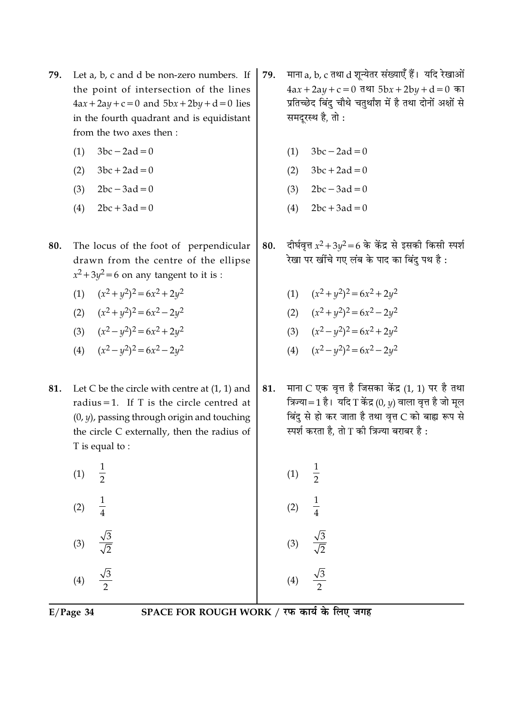- Let a, b, c and d be non-zero numbers. If 79. the point of intersection of the lines  $4ax + 2ay + c = 0$  and  $5bx + 2by + d = 0$  lies in the fourth quadrant and is equidistant from the two axes then :
	- $3bc 2ad = 0$  $(1)$
	- $3bc + 2ad = 0$  $(2)$
	- $2bc 3ad = 0$  $(3)$
	- $2bc + 3ad = 0$  $(4)$
- The locus of the foot of perpendicular 80. drawn from the centre of the ellipse  $x^2 + 3y^2 = 6$  on any tangent to it is :
	- (1)  $(x^2 + y^2)^2 = 6x^2 + 2y^2$
	- (2)  $(x^2+y^2)^2=6x^2-2y^2$
	- (3)  $(x^2 y^2)^2 = 6x^2 + 2y^2$
	- (4)  $(x^2 y^2)^2 = 6x^2 2y^2$
- Let C be the circle with centre at  $(1, 1)$  and 81. radius = 1. If T is the circle centred at  $(0, y)$ , passing through origin and touching the circle C externally, then the radius of T is equal to:
	- $\frac{1}{2}$  $(1)$

 $(2)$ 

 $(3)$ 

- माना a, b, c तथा d शुन्येतर संख्याएँ हैं। यदि रेखाओं 79.  $4ax + 2ay + c = 0$  तथा  $5bx + 2by + d = 0$  का प्रतिच्छेद बिंदु चौथे चतुर्थांश में है तथा दोनों अक्षों से समदूरस्थ है, तो :
	- $3bc 2ad = 0$  $(1)$
	- $3bc + 2ad = 0$  $(2)$
	- $(3)$  $2bc - 3ad = 0$
	- $2bc + 3ad = 0$  $(4)$
- दीर्घवृत्त  $x^2 + 3y^2 = 6$  के केंद्र से इसकी किसी स्पर्श 80. रेखा पर खींचे गए लंब के पाद का बिंद पथ है :
	- (1)  $(x^2 + y^2)^2 = 6x^2 + 2y^2$
	- (2)  $(x^2 + y^2)^2 = 6x^2 2y^2$
	- (3)  $(x^2 y^2)^2 = 6x^2 + 2y^2$
	- (4)  $(x^2 y^2)^2 = 6x^2 2y^2$
- माना C एक वृत्त है जिसका केंद्र (1, 1) पर है तथा 81. त्रिज्या=1 है। यदि T केंद्र (0,  $\nu$ ) वाला वृत्त है जो मुल बिंदु से हो कर जाता है तथा वृत्त C को बाह्य रूप से स्पर्श करता है. तो T की त्रिज्या बराबर है:
	- $\frac{1}{2}$  $(1)$  $(2)$  $(3)$

 $E/Page$  34

 $(4)$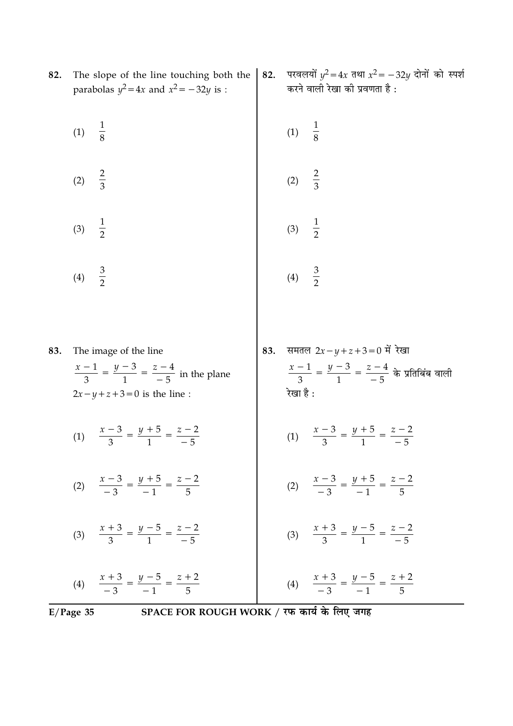|     | SPACE FOR ROUGH WORK / रफ कार्य के लिए जगह<br>$E/Page$ 35                                                                    |     |                                                                                                                       |
|-----|------------------------------------------------------------------------------------------------------------------------------|-----|-----------------------------------------------------------------------------------------------------------------------|
|     | (4) $\frac{x+3}{-3} = \frac{y-5}{-1} = \frac{z+2}{5}$                                                                        |     | (4) $\frac{x+3}{-3} = \frac{y-5}{-1} = \frac{z+2}{5}$                                                                 |
|     | (3) $\frac{x+3}{3} = \frac{y-5}{1} = \frac{z-2}{-5}$                                                                         |     | (3) $\frac{x+3}{3} = \frac{y-5}{1} = \frac{z-2}{-5}$                                                                  |
|     | (2) $\frac{x-3}{-3} = \frac{y+5}{-1} = \frac{z-2}{5}$                                                                        |     | (2) $\frac{x-3}{-3} = \frac{y+5}{-1} = \frac{z-2}{5}$                                                                 |
|     | (1) $\frac{x-3}{3} = \frac{y+5}{1} = \frac{z-2}{-5}$                                                                         |     | (1) $\frac{x-3}{3} = \frac{y+5}{1} = \frac{z-2}{-5}$                                                                  |
| 83. | The image of the line<br>$\frac{x-1}{3} = \frac{y-3}{1} = \frac{z-4}{-5}$ in the plane<br>$2x - y + z + 3 = 0$ is the line : | 83. | समतल $2x - y + z + 3 = 0$ में रेखा<br>$\frac{x-1}{3} = \frac{y-3}{1} = \frac{z-4}{-5}$ के प्रतिबिंब वाली<br>रेखा है : |
|     | $rac{3}{2}$<br>(4)                                                                                                           |     | (4)                                                                                                                   |
|     | $\frac{1}{2}$<br>(3)                                                                                                         |     | $\frac{1}{2}$<br>(3)                                                                                                  |
|     | $rac{2}{3}$<br>(2)                                                                                                           |     | (2)                                                                                                                   |
|     | $\frac{1}{8}$<br>(1)                                                                                                         |     | (1)                                                                                                                   |
| 82. | The slope of the line touching both the<br>parabolas $y^2 = 4x$ and $x^2 = -32y$ is :                                        | 82. | परवलयों $y^2 = 4x$ तथा $x^2 = -32y$ दोनों को स्पर्श<br>करने वाली रेखा की प्रवणता है :                                 |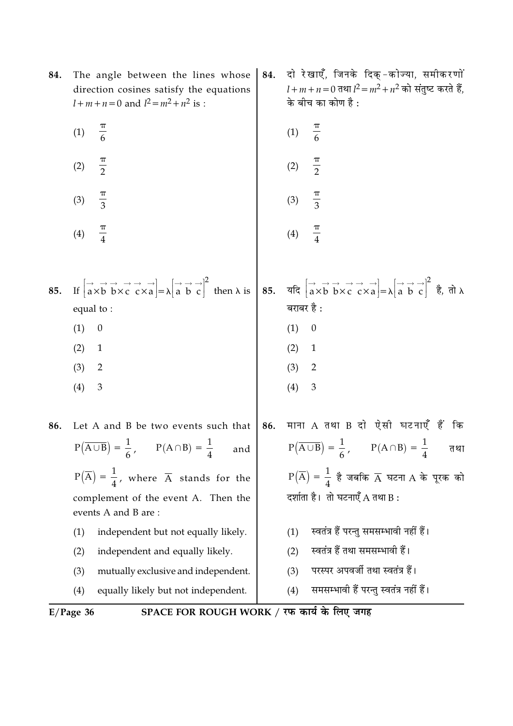| 84. | The angle between the lines whose<br>direction cosines satisfy the equations<br>$l+m+n=0$ and $l^2 = m^2 + n^2$ is :                                                                                                                                                                                                                                                                                                                                                                                                                                                      | 84. | दो रेखाएँ, जिनके दिक्-कोज्या, समीकरणों<br>$l + m + n = 0$ तथा $l^2 = m^2 + n^2$ को संतुष्ट करते हैं,<br>के बीच का कोण है : |
|-----|---------------------------------------------------------------------------------------------------------------------------------------------------------------------------------------------------------------------------------------------------------------------------------------------------------------------------------------------------------------------------------------------------------------------------------------------------------------------------------------------------------------------------------------------------------------------------|-----|----------------------------------------------------------------------------------------------------------------------------|
|     | $\frac{\pi}{6}$<br>(1)                                                                                                                                                                                                                                                                                                                                                                                                                                                                                                                                                    |     | $\frac{\pi}{6}$<br>(1)                                                                                                     |
|     | $\frac{\pi}{2}$<br>(2)                                                                                                                                                                                                                                                                                                                                                                                                                                                                                                                                                    |     | $\frac{\pi}{2}$<br>(2)                                                                                                     |
|     | $\frac{\pi}{3}$<br>(3)                                                                                                                                                                                                                                                                                                                                                                                                                                                                                                                                                    |     | $\frac{\pi}{3}$<br>(3)                                                                                                     |
|     | $\frac{\pi}{4}$<br>(4)                                                                                                                                                                                                                                                                                                                                                                                                                                                                                                                                                    |     | $\frac{\pi}{4}$<br>(4)                                                                                                     |
|     |                                                                                                                                                                                                                                                                                                                                                                                                                                                                                                                                                                           |     |                                                                                                                            |
| 85. | If $\begin{bmatrix} \rightarrow & \rightarrow & \rightarrow & \rightarrow \\ a \times b & b \times c & c \times a \end{bmatrix} = \lambda \begin{bmatrix} \rightarrow & \rightarrow & \rightarrow \\ a & b & c \end{bmatrix}^2$ then $\lambda$ is $\begin{bmatrix} 85 \\ 85 \end{bmatrix}$ , $\begin{bmatrix} \rightarrow & \rightarrow & \rightarrow & \rightarrow & \rightarrow \\ a \times b & b \times c & c \times a \end{bmatrix} = \lambda \begin{bmatrix} \rightarrow & \rightarrow & \rightarrow \\ a & b & c \end{bmatrix}^2$ $\dot{g}$ , $\dot{d}$ , $\lambda$ |     |                                                                                                                            |
|     | equal to:                                                                                                                                                                                                                                                                                                                                                                                                                                                                                                                                                                 |     | बराबर है :                                                                                                                 |
|     | (1)<br>$\boldsymbol{0}$                                                                                                                                                                                                                                                                                                                                                                                                                                                                                                                                                   |     | (1)<br>$\boldsymbol{0}$                                                                                                    |
|     | (2)<br>$\mathbf{1}$                                                                                                                                                                                                                                                                                                                                                                                                                                                                                                                                                       |     | (2)<br>$\mathbf{1}$                                                                                                        |
|     | (3)<br>$\overline{2}$                                                                                                                                                                                                                                                                                                                                                                                                                                                                                                                                                     |     | (3)<br>$\overline{c}$                                                                                                      |
|     | (4)<br>3                                                                                                                                                                                                                                                                                                                                                                                                                                                                                                                                                                  |     | (4)<br>3                                                                                                                   |
| 86. | Let A and B be two events such that                                                                                                                                                                                                                                                                                                                                                                                                                                                                                                                                       | 86. | माना A तथा B दो ऐसी घटनाएँ हैं<br>कि                                                                                       |
|     | $P(\overline{A \cup B}) = \frac{1}{6}, \qquad P(A \cap B) = \frac{1}{4}$ and                                                                                                                                                                                                                                                                                                                                                                                                                                                                                              |     | $P(\overline{A \cup B}) = \frac{1}{6}, \qquad P(A \cap B) = \frac{1}{4}$ तथा                                               |
|     | $P(\overline{A}) = \frac{1}{4}$ , where $\overline{A}$ stands for the                                                                                                                                                                                                                                                                                                                                                                                                                                                                                                     |     | $P(\overline{A}) = \frac{1}{4}$ है जबकि $\overline{A}$ घटना A के पूरक को                                                   |
|     | complement of the event A. Then the<br>events A and B are:                                                                                                                                                                                                                                                                                                                                                                                                                                                                                                                |     | दर्शाता है। तो घटनाएँ A तथा B:                                                                                             |
|     | independent but not equally likely.<br>(1)                                                                                                                                                                                                                                                                                                                                                                                                                                                                                                                                |     | स्वतंत्र हैं परन्तु समसम्भावी नहीं हैं।<br>(1)                                                                             |
|     | (2)<br>independent and equally likely.                                                                                                                                                                                                                                                                                                                                                                                                                                                                                                                                    |     | स्वतंत्र हैं तथा समसम्भावी हैं।<br>(2)                                                                                     |
|     | (3)<br>mutually exclusive and independent.                                                                                                                                                                                                                                                                                                                                                                                                                                                                                                                                |     | परस्पर अपवर्जी तथा स्वतंत्र हैं।<br>(3)                                                                                    |
|     | (4)<br>equally likely but not independent.                                                                                                                                                                                                                                                                                                                                                                                                                                                                                                                                |     | समसम्भावी हैं परन्तु स्वतंत्र नहीं हैं।<br>(4)                                                                             |

E/Page 36 SPACE FOR ROUGH WORK / रफ कार्य के लिए जगह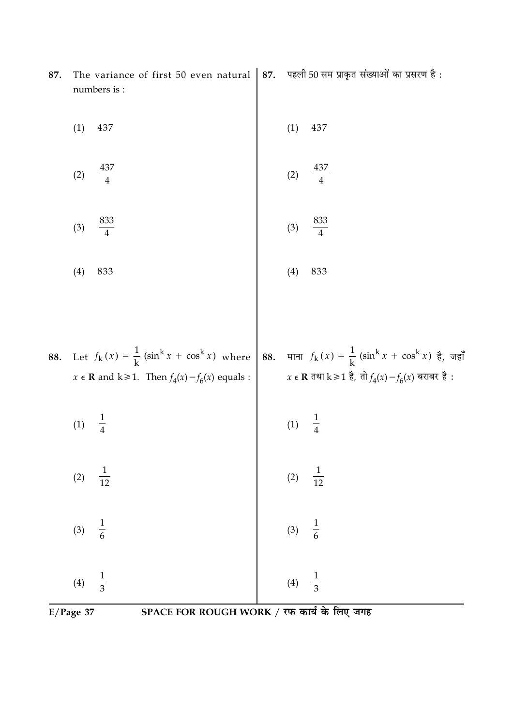|     | SPACE FOR ROUGH WORK / रफ कार्य के लिए जगह<br>$E/Page$ 37                                            |                                                                                                                                                                                                          |
|-----|------------------------------------------------------------------------------------------------------|----------------------------------------------------------------------------------------------------------------------------------------------------------------------------------------------------------|
|     | $\frac{1}{3}$<br>(4)                                                                                 | $\frac{1}{3}$<br>(4)                                                                                                                                                                                     |
|     | $\frac{1}{6}$<br>(3)                                                                                 | $\frac{1}{6}$<br>(3)                                                                                                                                                                                     |
|     | $\frac{1}{12}$<br>(2)                                                                                | $\frac{1}{12}$<br>$(2)$                                                                                                                                                                                  |
|     | (1)                                                                                                  | (1)                                                                                                                                                                                                      |
| 88. |                                                                                                      | Let $f_k(x) = \frac{1}{k} (\sin^k x + \cos^k x)$ where<br>$x \in \mathbb{R}$ and $k \ge 1$ . Then $f_4(x) - f_6(x)$ equals :<br>$x \in \mathbb{R}$ $\pi$ and $k \ge 1$ . Then $f_4(x) - f_6(x)$ equals : |
|     |                                                                                                      |                                                                                                                                                                                                          |
|     | (4)<br>833                                                                                           | (4)<br>833                                                                                                                                                                                               |
|     | 833<br>(3)                                                                                           | 833<br>(3)                                                                                                                                                                                               |
|     | 437<br>(2)                                                                                           | 437<br>(2)                                                                                                                                                                                               |
|     | (1)<br>437                                                                                           | (1)<br>437                                                                                                                                                                                               |
| 87. | The variance of first 50 even natural   87. पहली 50 सम प्राकृत संख्याओं का प्रसरण है:<br>numbers is: |                                                                                                                                                                                                          |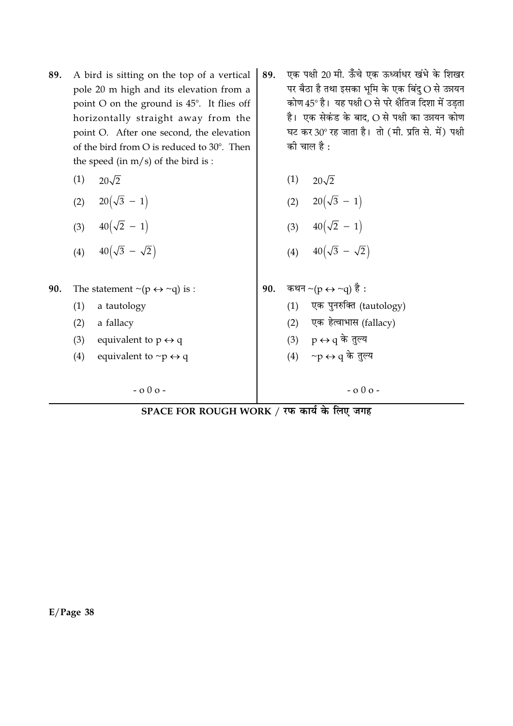- 89. A bird is sitting on the top of a vertical pole 20 m high and its elevation from a point O on the ground is 45°. It flies off horizontally straight away from the point O. After one second, the elevation of the bird from O is reduced to 30°. Then the speed (in  $m/s$ ) of the bird is:
	- $20\sqrt{2}$  $(1)$
	- (2)  $20(\sqrt{3} 1)$
	- (3)  $40(\sqrt{2} 1)$
	- (4)  $40(\sqrt{3} \sqrt{2})$
- The statement  $\sim (p \leftrightarrow \sim q)$  is : 90.
	- $(1)$ a tautology
	- $(2)$ a fallacy
	- $(3)$ equivalent to  $p \leftrightarrow q$
	- $(4)$ equivalent to  $\neg p \leftrightarrow q$

 $-0.00 -$ 

एक पक्षी 20 मी. ऊँचे एक ऊर्ध्वाधर खंभे के शिखर 89. पर बैठा है तथा इसका भूमि के एक बिंदु O से उन्नयन कोण  $45^{\circ}$  है। यह पक्षी  $\bigcirc$  से परे क्षैतिज दिशा में उड़ता है। एक सेकंड के बाद, O से पक्षी का उन्नयन कोण घट कर 30° रह जाता है। तो (मी. प्रति से. में) पक्षी की चाल है :

$$
(1) \qquad 20\sqrt{2}
$$

$$
(2) \qquad 20\left(\sqrt{3} - 1\right)
$$

$$
(3) \qquad 40\left(\sqrt{2} - 1\right)
$$

$$
(4) \qquad 40\left(\sqrt{3} - \sqrt{2}\right)
$$

- कथन ~(p  $\leftrightarrow$  ~q) है : 90.
	- एक पुनरुक्ति (tautology)  $(1)$
	- (2) एक हेत्वाभास (fallacy)
	- (3)  $p \leftrightarrow q$  के तुल्य
	- (4) ∼p ↔ q के तुल्य
		- $-0.00 -$

SPACE FOR ROUGH WORK / रफ कार्य के लिए जगह

 $E/Page$  38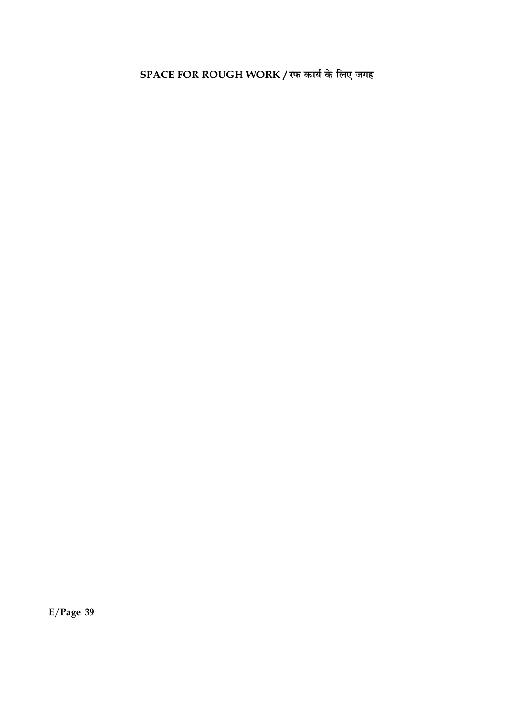SPACE FOR ROUGH WORK / रफ कार्य के लिए जगह

 $E/Page$  39